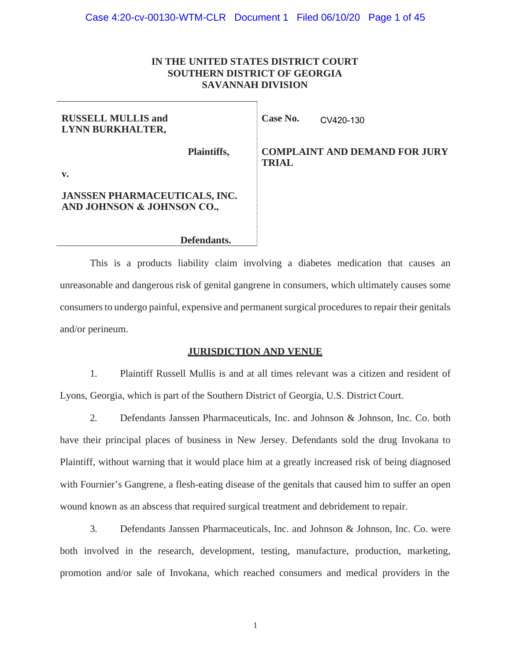## **IN THE UNITED STATES DISTRICT COURT SOUTHERN DISTRICT OF GEORGIA SAVANNAH DIVISION**

#### **RUSSELL MULLIS and LYNN BURKHALTER,**

**Plaintiffs,** 

**Case No.**  CV420-130

**COMPLAINT AND DEMAND FOR JURY TRIAL** 

**v.** 

## **JANSSEN PHARMACEUTICALS, INC. AND JOHNSON & JOHNSON CO.,**

**Defendants.** 

This is a products liability claim involving a diabetes medication that causes an unreasonable and dangerous risk of genital gangrene in consumers, which ultimately causes some consumers to undergo painful, expensive and permanent surgical procedures to repair their genitals and/or perineum.

## **JURISDICTION AND VENUE**

1. Plaintiff Russell Mullis is and at all times relevant was a citizen and resident of Lyons, Georgia, which is part of the Southern District of Georgia, U.S. District Court.

2. Defendants Janssen Pharmaceuticals, Inc. and Johnson & Johnson, Inc. Co. both have their principal places of business in New Jersey. Defendants sold the drug Invokana to Plaintiff, without warning that it would place him at a greatly increased risk of being diagnosed with Fournier's Gangrene, a flesh-eating disease of the genitals that caused him to suffer an open wound known as an abscess that required surgical treatment and debridement to repair.

3. Defendants Janssen Pharmaceuticals, Inc. and Johnson & Johnson, Inc. Co. were both involved in the research, development, testing, manufacture, production, marketing, promotion and/or sale of Invokana, which reached consumers and medical providers in the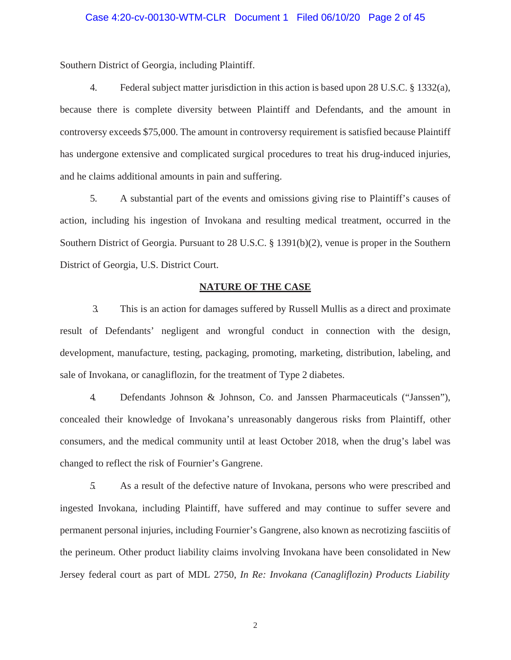#### Case 4:20-cv-00130-WTM-CLR Document 1 Filed 06/10/20 Page 2 of 45

Southern District of Georgia, including Plaintiff.

4. Federal subject matter jurisdiction in this action is based upon 28 U.S.C. § 1332(a), because there is complete diversity between Plaintiff and Defendants, and the amount in controversy exceeds \$75,000. The amount in controversy requirement is satisfied because Plaintiff has undergone extensive and complicated surgical procedures to treat his drug-induced injuries, and he claims additional amounts in pain and suffering.

5. A substantial part of the events and omissions giving rise to Plaintiff's causes of action, including his ingestion of Invokana and resulting medical treatment, occurred in the Southern District of Georgia. Pursuant to 28 U.S.C. § 1391(b)(2), venue is proper in the Southern District of Georgia, U.S. District Court.

#### **NATURE OF THE CASE**

3. This is an action for damages suffered by Russell Mullis as a direct and proximate result of Defendants' negligent and wrongful conduct in connection with the design, development, manufacture, testing, packaging, promoting, marketing, distribution, labeling, and sale of Invokana, or canagliflozin, for the treatment of Type 2 diabetes.

4. Defendants Johnson & Johnson, Co. and Janssen Pharmaceuticals ("Janssen"), concealed their knowledge of Invokana's unreasonably dangerous risks from Plaintiff, other consumers, and the medical community until at least October 2018, when the drug's label was changed to reflect the risk of Fournier's Gangrene.

*5.* As a result of the defective nature of Invokana, persons who were prescribed and ingested Invokana, including Plaintiff, have suffered and may continue to suffer severe and permanent personal injuries, including Fournier's Gangrene, also known as necrotizing fasciitis of the perineum. Other product liability claims involving Invokana have been consolidated in New Jersey federal court as part of MDL 2750, *In Re: Invokana (Canagliflozin) Products Liability*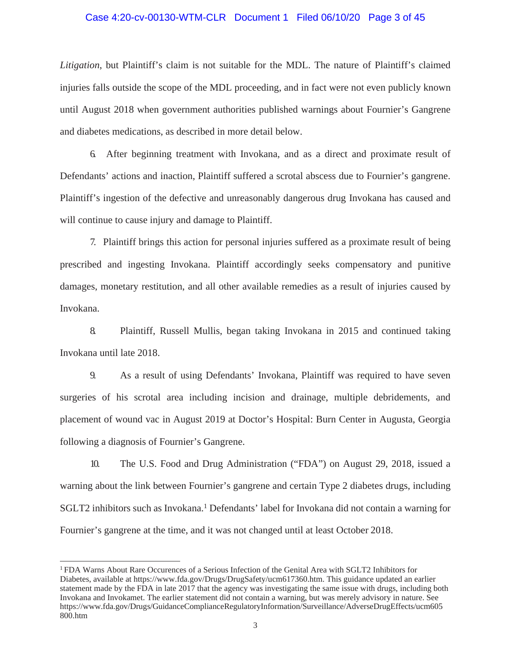### Case 4:20-cv-00130-WTM-CLR Document 1 Filed 06/10/20 Page 3 of 45

*Litigation*, but Plaintiff's claim is not suitable for the MDL. The nature of Plaintiff's claimed injuries falls outside the scope of the MDL proceeding, and in fact were not even publicly known until August 2018 when government authorities published warnings about Fournier's Gangrene and diabetes medications, as described in more detail below.

6. After beginning treatment with Invokana, and as a direct and proximate result of Defendants' actions and inaction, Plaintiff suffered a scrotal abscess due to Fournier's gangrene. Plaintiff's ingestion of the defective and unreasonably dangerous drug Invokana has caused and will continue to cause injury and damage to Plaintiff.

7. Plaintiff brings this action for personal injuries suffered as a proximate result of being prescribed and ingesting Invokana. Plaintiff accordingly seeks compensatory and punitive damages, monetary restitution, and all other available remedies as a result of injuries caused by Invokana.

8. Plaintiff, Russell Mullis, began taking Invokana in 2015 and continued taking Invokana until late 2018.

9. As a result of using Defendants' Invokana, Plaintiff was required to have seven surgeries of his scrotal area including incision and drainage, multiple debridements, and placement of wound vac in August 2019 at Doctor's Hospital: Burn Center in Augusta, Georgia following a diagnosis of Fournier's Gangrene.

10. The U.S. Food and Drug Administration ("FDA") on August 29, 2018, issued a warning about the link between Fournier's gangrene and certain Type 2 diabetes drugs, including SGLT2 inhibitors such as Invokana.<sup>1</sup> Defendants' label for Invokana did not contain a warning for Fournier's gangrene at the time, and it was not changed until at least October 2018.

<sup>1</sup> FDA Warns About Rare Occurences of a Serious Infection of the Genital Area with SGLT2 Inhibitors for Diabetes, available at https://www.fda.gov/Drugs/DrugSafety/ucm617360.htm. This guidance updated an earlier statement made by the FDA in late 2017 that the agency was investigating the same issue with drugs, including both Invokana and Invokamet. The earlier statement did not contain a warning, but was merely advisory in nature. See https://www.fda.gov/Drugs/GuidanceComplianceRegulatoryInformation/Surveillance/AdverseDrugEffects/ucm605 800.htm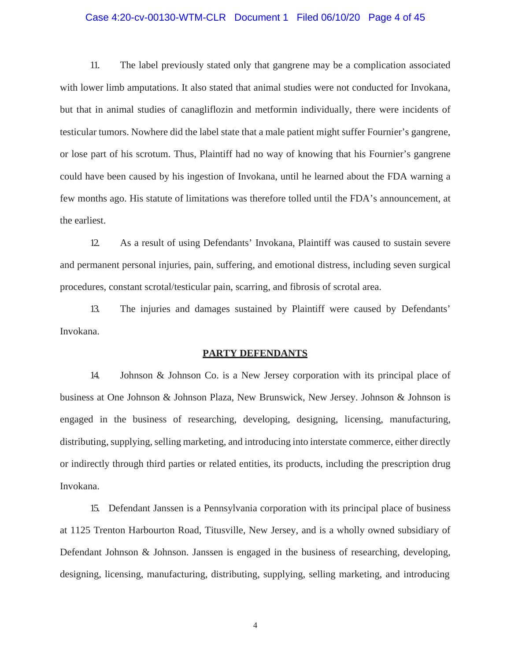#### Case 4:20-cv-00130-WTM-CLR Document 1 Filed 06/10/20 Page 4 of 45

11. The label previously stated only that gangrene may be a complication associated with lower limb amputations. It also stated that animal studies were not conducted for Invokana, but that in animal studies of canagliflozin and metformin individually, there were incidents of testicular tumors. Nowhere did the label state that a male patient might suffer Fournier's gangrene, or lose part of his scrotum. Thus, Plaintiff had no way of knowing that his Fournier's gangrene could have been caused by his ingestion of Invokana, until he learned about the FDA warning a few months ago. His statute of limitations was therefore tolled until the FDA's announcement, at the earliest.

12. As a result of using Defendants' Invokana, Plaintiff was caused to sustain severe and permanent personal injuries, pain, suffering, and emotional distress, including seven surgical procedures, constant scrotal/testicular pain, scarring, and fibrosis of scrotal area.

13. The injuries and damages sustained by Plaintiff were caused by Defendants' Invokana.

### **PARTY DEFENDANTS**

14. Johnson & Johnson Co. is a New Jersey corporation with its principal place of business at One Johnson & Johnson Plaza, New Brunswick, New Jersey. Johnson & Johnson is engaged in the business of researching, developing, designing, licensing, manufacturing, distributing, supplying, selling marketing, and introducing into interstate commerce, either directly or indirectly through third parties or related entities, its products, including the prescription drug Invokana.

15. Defendant Janssen is a Pennsylvania corporation with its principal place of business at 1125 Trenton Harbourton Road, Titusville, New Jersey, and is a wholly owned subsidiary of Defendant Johnson & Johnson. Janssen is engaged in the business of researching, developing, designing, licensing, manufacturing, distributing, supplying, selling marketing, and introducing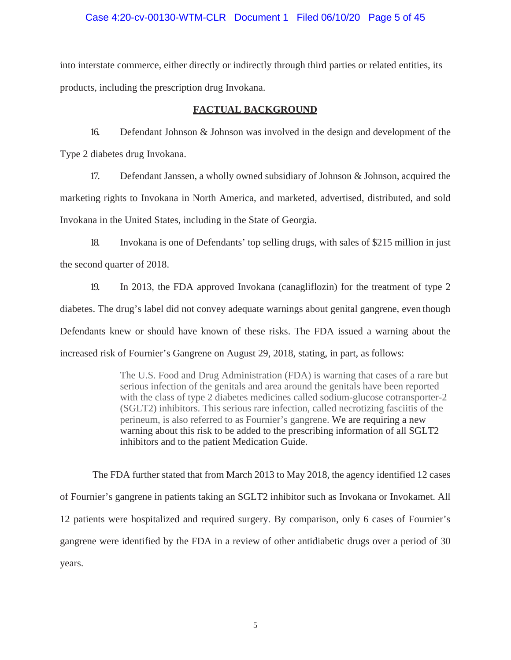### Case 4:20-cv-00130-WTM-CLR Document 1 Filed 06/10/20 Page 5 of 45

into interstate commerce, either directly or indirectly through third parties or related entities, its products, including the prescription drug Invokana.

#### **FACTUAL BACKGROUND**

16. Defendant Johnson & Johnson was involved in the design and development of the Type 2 diabetes drug Invokana.

17. Defendant Janssen, a wholly owned subsidiary of Johnson & Johnson, acquired the marketing rights to Invokana in North America, and marketed, advertised, distributed, and sold Invokana in the United States, including in the State of Georgia.

18. Invokana is one of Defendants' top selling drugs, with sales of \$215 million in just the second quarter of 2018.

19. In 2013, the FDA approved Invokana (canagliflozin) for the treatment of type 2 diabetes. The drug's label did not convey adequate warnings about genital gangrene, even though Defendants knew or should have known of these risks. The FDA issued a warning about the increased risk of Fournier's Gangrene on August 29, 2018, stating, in part, as follows:

> The U.S. Food and Drug Administration (FDA) is warning that cases of a rare but serious infection of the genitals and area around the genitals have been reported with the class of type 2 diabetes medicines called sodium-glucose cotransporter-2 (SGLT2) inhibitors. This serious rare infection, called necrotizing fasciitis of the perineum, is also referred to as Fournier's gangrene. We are requiring a new warning about this risk to be added to the prescribing information of all SGLT2 inhibitors and to the patient Medication Guide.

The FDA further stated that from March 2013 to May 2018, the agency identified 12 cases of Fournier's gangrene in patients taking an SGLT2 inhibitor such as Invokana or Invokamet. All 12 patients were hospitalized and required surgery. By comparison, only 6 cases of Fournier's gangrene were identified by the FDA in a review of other antidiabetic drugs over a period of 30 years.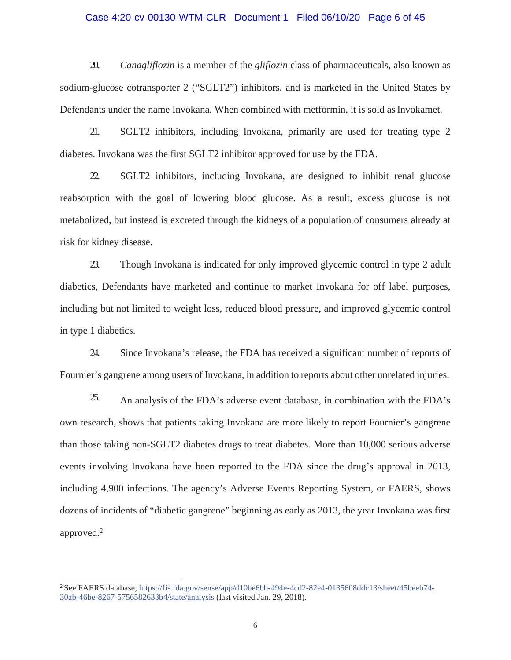#### Case 4:20-cv-00130-WTM-CLR Document 1 Filed 06/10/20 Page 6 of 45

20. *Canagliflozin* is a member of the *gliflozin* class of pharmaceuticals, also known as sodium-glucose cotransporter 2 ("SGLT2") inhibitors, and is marketed in the United States by Defendants under the name Invokana. When combined with metformin, it is sold as Invokamet.

21. SGLT2 inhibitors, including Invokana, primarily are used for treating type 2 diabetes. Invokana was the first SGLT2 inhibitor approved for use by the FDA.

22. SGLT2 inhibitors, including Invokana, are designed to inhibit renal glucose reabsorption with the goal of lowering blood glucose. As a result, excess glucose is not metabolized, but instead is excreted through the kidneys of a population of consumers already at risk for kidney disease.

23. Though Invokana is indicated for only improved glycemic control in type 2 adult diabetics, Defendants have marketed and continue to market Invokana for off label purposes, including but not limited to weight loss, reduced blood pressure, and improved glycemic control in type 1 diabetics.

24. Since Invokana's release, the FDA has received a significant number of reports of Fournier's gangrene among users of Invokana, in addition to reports about other unrelated injuries.

25. An analysis of the FDA's adverse event database, in combination with the FDA's own research, shows that patients taking Invokana are more likely to report Fournier's gangrene than those taking non-SGLT2 diabetes drugs to treat diabetes. More than 10,000 serious adverse events involving Invokana have been reported to the FDA since the drug's approval in 2013, including 4,900 infections. The agency's Adverse Events Reporting System, or FAERS, shows dozens of incidents of "diabetic gangrene" beginning as early as 2013, the year Invokana was first approved.2

<sup>2</sup> See FAERS database, https://fis.fda.gov/sense/app/d10be6bb-494e-4cd2-82e4-0135608ddc13/sheet/45beeb74- 30ab-46be-8267-5756582633b4/state/analysis (last visited Jan. 29, 2018).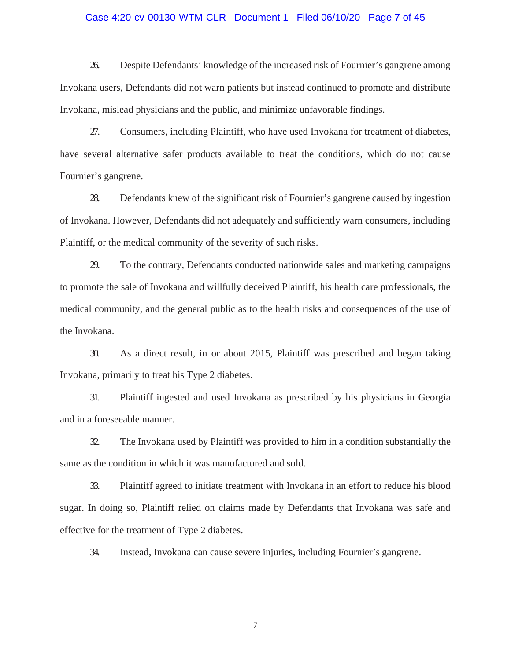#### Case 4:20-cv-00130-WTM-CLR Document 1 Filed 06/10/20 Page 7 of 45

26. Despite Defendants' knowledge of the increased risk of Fournier's gangrene among Invokana users, Defendants did not warn patients but instead continued to promote and distribute Invokana, mislead physicians and the public, and minimize unfavorable findings.

27. Consumers, including Plaintiff, who have used Invokana for treatment of diabetes, have several alternative safer products available to treat the conditions, which do not cause Fournier's gangrene.

28. Defendants knew of the significant risk of Fournier's gangrene caused by ingestion of Invokana. However, Defendants did not adequately and sufficiently warn consumers, including Plaintiff, or the medical community of the severity of such risks.

29. To the contrary, Defendants conducted nationwide sales and marketing campaigns to promote the sale of Invokana and willfully deceived Plaintiff, his health care professionals, the medical community, and the general public as to the health risks and consequences of the use of the Invokana.

30. As a direct result, in or about 2015, Plaintiff was prescribed and began taking Invokana, primarily to treat his Type 2 diabetes.

31. Plaintiff ingested and used Invokana as prescribed by his physicians in Georgia and in a foreseeable manner.

32. The Invokana used by Plaintiff was provided to him in a condition substantially the same as the condition in which it was manufactured and sold.

33. Plaintiff agreed to initiate treatment with Invokana in an effort to reduce his blood sugar. In doing so, Plaintiff relied on claims made by Defendants that Invokana was safe and effective for the treatment of Type 2 diabetes.

34. Instead, Invokana can cause severe injuries, including Fournier's gangrene.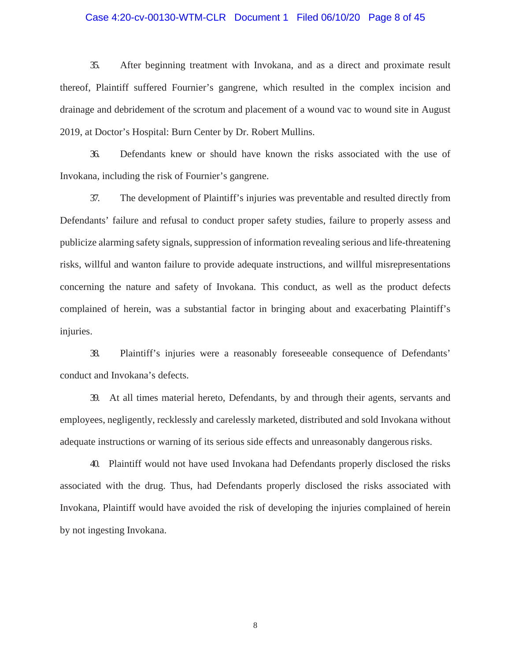#### Case 4:20-cv-00130-WTM-CLR Document 1 Filed 06/10/20 Page 8 of 45

35. After beginning treatment with Invokana, and as a direct and proximate result thereof, Plaintiff suffered Fournier's gangrene, which resulted in the complex incision and drainage and debridement of the scrotum and placement of a wound vac to wound site in August 2019, at Doctor's Hospital: Burn Center by Dr. Robert Mullins.

36. Defendants knew or should have known the risks associated with the use of Invokana, including the risk of Fournier's gangrene.

37. The development of Plaintiff's injuries was preventable and resulted directly from Defendants' failure and refusal to conduct proper safety studies, failure to properly assess and publicize alarming safety signals, suppression of information revealing serious and life-threatening risks, willful and wanton failure to provide adequate instructions, and willful misrepresentations concerning the nature and safety of Invokana. This conduct, as well as the product defects complained of herein, was a substantial factor in bringing about and exacerbating Plaintiff's injuries.

38. Plaintiff's injuries were a reasonably foreseeable consequence of Defendants' conduct and Invokana's defects.

39. At all times material hereto, Defendants, by and through their agents, servants and employees, negligently, recklessly and carelessly marketed, distributed and sold Invokana without adequate instructions or warning of its serious side effects and unreasonably dangerous risks.

40. Plaintiff would not have used Invokana had Defendants properly disclosed the risks associated with the drug. Thus, had Defendants properly disclosed the risks associated with Invokana, Plaintiff would have avoided the risk of developing the injuries complained of herein by not ingesting Invokana.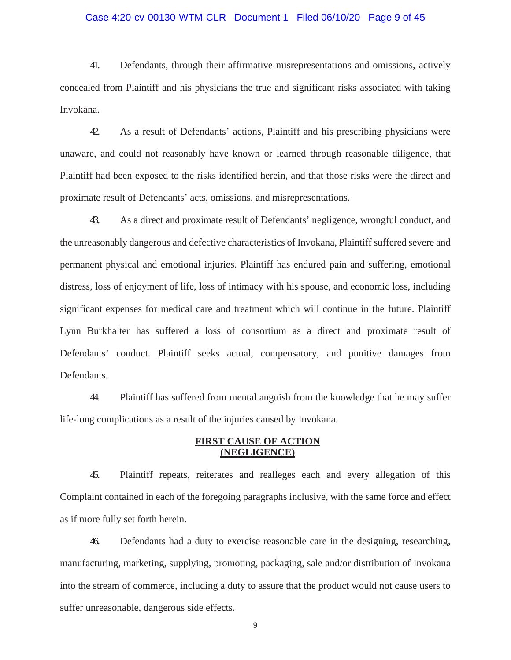#### Case 4:20-cv-00130-WTM-CLR Document 1 Filed 06/10/20 Page 9 of 45

41. Defendants, through their affirmative misrepresentations and omissions, actively concealed from Plaintiff and his physicians the true and significant risks associated with taking Invokana.

42. As a result of Defendants' actions, Plaintiff and his prescribing physicians were unaware, and could not reasonably have known or learned through reasonable diligence, that Plaintiff had been exposed to the risks identified herein, and that those risks were the direct and proximate result of Defendants' acts, omissions, and misrepresentations.

43. As a direct and proximate result of Defendants' negligence, wrongful conduct, and the unreasonably dangerous and defective characteristics of Invokana, Plaintiff suffered severe and permanent physical and emotional injuries. Plaintiff has endured pain and suffering, emotional distress, loss of enjoyment of life, loss of intimacy with his spouse, and economic loss, including significant expenses for medical care and treatment which will continue in the future. Plaintiff Lynn Burkhalter has suffered a loss of consortium as a direct and proximate result of Defendants' conduct. Plaintiff seeks actual, compensatory, and punitive damages from Defendants.

44. Plaintiff has suffered from mental anguish from the knowledge that he may suffer life-long complications as a result of the injuries caused by Invokana.

### **FIRST CAUSE OF ACTION (NEGLIGENCE)**

45. Plaintiff repeats, reiterates and realleges each and every allegation of this Complaint contained in each of the foregoing paragraphs inclusive, with the same force and effect as if more fully set forth herein.

46. Defendants had a duty to exercise reasonable care in the designing, researching, manufacturing, marketing, supplying, promoting, packaging, sale and/or distribution of Invokana into the stream of commerce, including a duty to assure that the product would not cause users to suffer unreasonable, dangerous side effects.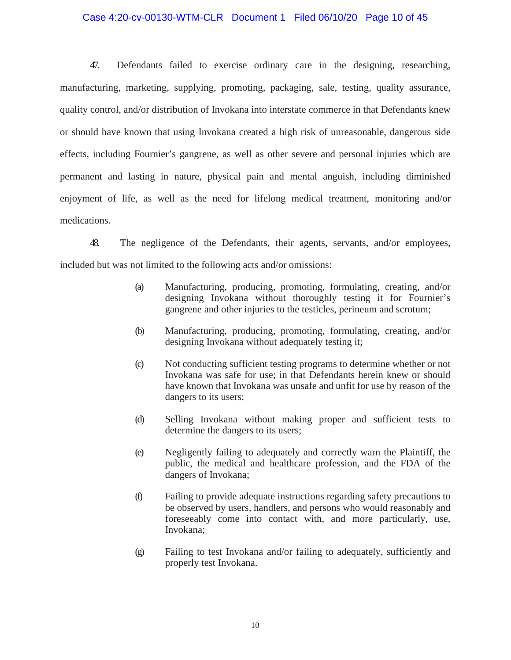## Case 4:20-cv-00130-WTM-CLR Document 1 Filed 06/10/20 Page 10 of 45

47. Defendants failed to exercise ordinary care in the designing, researching, manufacturing, marketing, supplying, promoting, packaging, sale, testing, quality assurance, quality control, and/or distribution of Invokana into interstate commerce in that Defendants knew or should have known that using Invokana created a high risk of unreasonable, dangerous side effects, including Fournier's gangrene, as well as other severe and personal injuries which are permanent and lasting in nature, physical pain and mental anguish, including diminished enjoyment of life, as well as the need for lifelong medical treatment, monitoring and/or medications.

48. The negligence of the Defendants, their agents, servants, and/or employees, included but was not limited to the following acts and/or omissions:

- (a) Manufacturing, producing, promoting, formulating, creating, and/or designing Invokana without thoroughly testing it for Fournier's gangrene and other injuries to the testicles, perineum and scrotum;
- (b) Manufacturing, producing, promoting, formulating, creating, and/or designing Invokana without adequately testing it;
- (c) Not conducting sufficient testing programs to determine whether or not Invokana was safe for use; in that Defendants herein knew or should have known that Invokana was unsafe and unfit for use by reason of the dangers to its users;
- (d) Selling Invokana without making proper and sufficient tests to determine the dangers to its users;
- (e) Negligently failing to adequately and correctly warn the Plaintiff, the public, the medical and healthcare profession, and the FDA of the dangers of Invokana;
- (f) Failing to provide adequate instructions regarding safety precautions to be observed by users, handlers, and persons who would reasonably and foreseeably come into contact with, and more particularly, use, Invokana;
- (g) Failing to test Invokana and/or failing to adequately, sufficiently and properly test Invokana.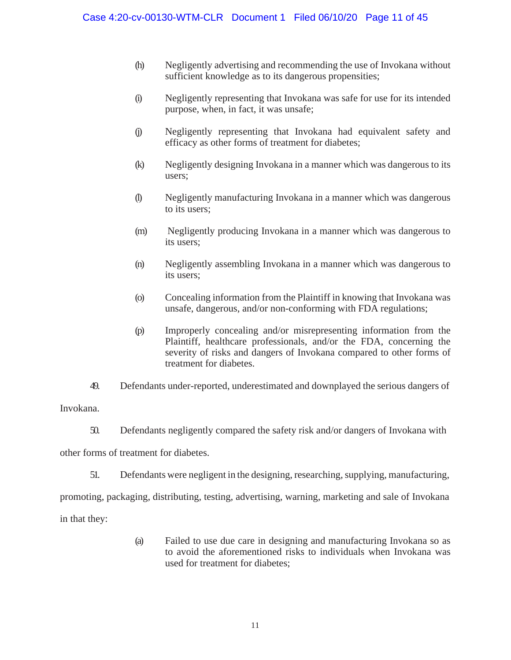- (h) Negligently advertising and recommending the use of Invokana without sufficient knowledge as to its dangerous propensities;
- (i) Negligently representing that Invokana was safe for use for its intended purpose, when, in fact, it was unsafe;
- (j) Negligently representing that Invokana had equivalent safety and efficacy as other forms of treatment for diabetes;
- (k) Negligently designing Invokana in a manner which was dangerous to its users;
- (l) Negligently manufacturing Invokana in a manner which was dangerous to its users;
- (m) Negligently producing Invokana in a manner which was dangerous to its users;
- (n) Negligently assembling Invokana in a manner which was dangerous to its users;
- (o) Concealing information from the Plaintiff in knowing that Invokana was unsafe, dangerous, and/or non-conforming with FDA regulations;
- (p) Improperly concealing and/or misrepresenting information from the Plaintiff, healthcare professionals, and/or the FDA, concerning the severity of risks and dangers of Invokana compared to other forms of treatment for diabetes.

49. Defendants under-reported, underestimated and downplayed the serious dangers of Invokana.

50. Defendants negligently compared the safety risk and/or dangers of Invokana with

other forms of treatment for diabetes.

51. Defendants were negligent in the designing, researching, supplying, manufacturing,

promoting, packaging, distributing, testing, advertising, warning, marketing and sale of Invokana in that they:

> (a) Failed to use due care in designing and manufacturing Invokana so as to avoid the aforementioned risks to individuals when Invokana was used for treatment for diabetes;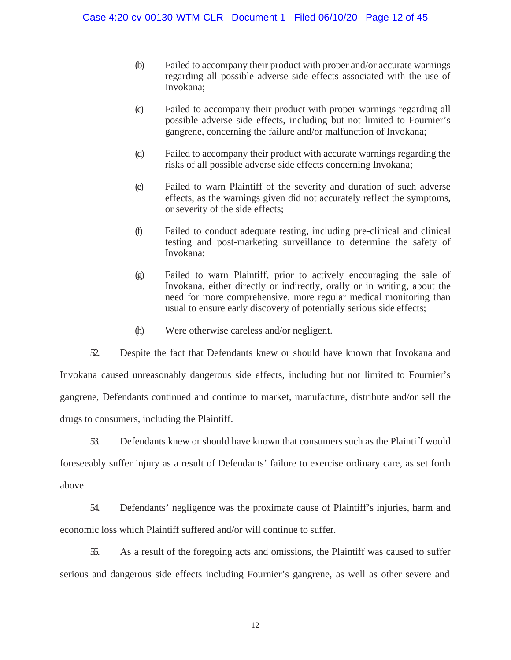- (b) Failed to accompany their product with proper and/or accurate warnings regarding all possible adverse side effects associated with the use of Invokana;
- (c) Failed to accompany their product with proper warnings regarding all possible adverse side effects, including but not limited to Fournier's gangrene, concerning the failure and/or malfunction of Invokana;
- (d) Failed to accompany their product with accurate warnings regarding the risks of all possible adverse side effects concerning Invokana;
- (e) Failed to warn Plaintiff of the severity and duration of such adverse effects, as the warnings given did not accurately reflect the symptoms, or severity of the side effects;
- (f) Failed to conduct adequate testing, including pre-clinical and clinical testing and post-marketing surveillance to determine the safety of Invokana;
- (g) Failed to warn Plaintiff, prior to actively encouraging the sale of Invokana, either directly or indirectly, orally or in writing, about the need for more comprehensive, more regular medical monitoring than usual to ensure early discovery of potentially serious side effects;
- (h) Were otherwise careless and/or negligent.

52. Despite the fact that Defendants knew or should have known that Invokana and Invokana caused unreasonably dangerous side effects, including but not limited to Fournier's gangrene, Defendants continued and continue to market, manufacture, distribute and/or sell the drugs to consumers, including the Plaintiff.

53. Defendants knew or should have known that consumers such as the Plaintiff would foreseeably suffer injury as a result of Defendants' failure to exercise ordinary care, as set forth above.

54. Defendants' negligence was the proximate cause of Plaintiff's injuries, harm and economic loss which Plaintiff suffered and/or will continue to suffer.

55. As a result of the foregoing acts and omissions, the Plaintiff was caused to suffer serious and dangerous side effects including Fournier's gangrene, as well as other severe and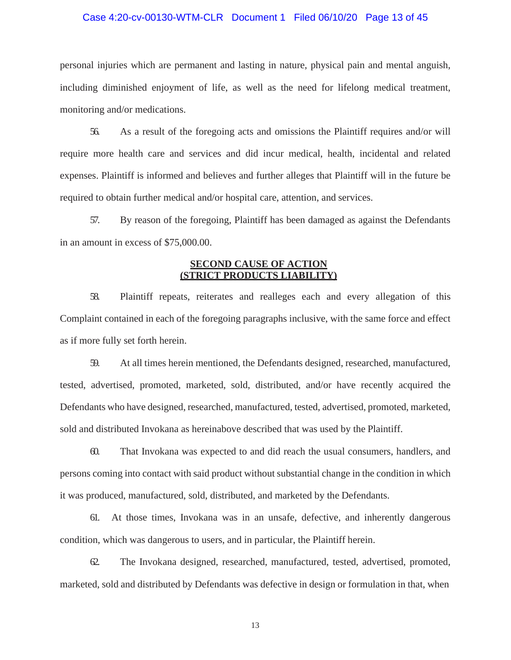#### Case 4:20-cv-00130-WTM-CLR Document 1 Filed 06/10/20 Page 13 of 45

personal injuries which are permanent and lasting in nature, physical pain and mental anguish, including diminished enjoyment of life, as well as the need for lifelong medical treatment, monitoring and/or medications.

56. As a result of the foregoing acts and omissions the Plaintiff requires and/or will require more health care and services and did incur medical, health, incidental and related expenses. Plaintiff is informed and believes and further alleges that Plaintiff will in the future be required to obtain further medical and/or hospital care, attention, and services.

57. By reason of the foregoing, Plaintiff has been damaged as against the Defendants in an amount in excess of \$75,000.00.

### **SECOND CAUSE OF ACTION (STRICT PRODUCTS LIABILITY)**

58. Plaintiff repeats, reiterates and realleges each and every allegation of this Complaint contained in each of the foregoing paragraphs inclusive, with the same force and effect as if more fully set forth herein.

59. At all times herein mentioned, the Defendants designed, researched, manufactured, tested, advertised, promoted, marketed, sold, distributed, and/or have recently acquired the Defendants who have designed, researched, manufactured, tested, advertised, promoted, marketed, sold and distributed Invokana as hereinabove described that was used by the Plaintiff.

60. That Invokana was expected to and did reach the usual consumers, handlers, and persons coming into contact with said product without substantial change in the condition in which it was produced, manufactured, sold, distributed, and marketed by the Defendants.

61. At those times, Invokana was in an unsafe, defective, and inherently dangerous condition, which was dangerous to users, and in particular, the Plaintiff herein.

62. The Invokana designed, researched, manufactured, tested, advertised, promoted, marketed, sold and distributed by Defendants was defective in design or formulation in that, when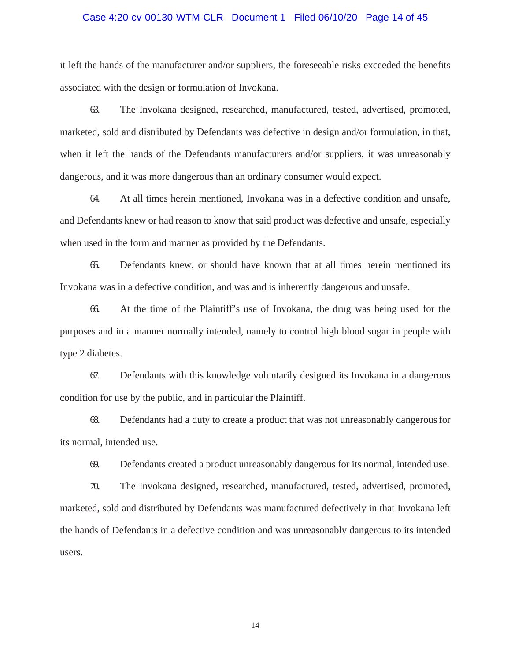#### Case 4:20-cv-00130-WTM-CLR Document 1 Filed 06/10/20 Page 14 of 45

it left the hands of the manufacturer and/or suppliers, the foreseeable risks exceeded the benefits associated with the design or formulation of Invokana.

63. The Invokana designed, researched, manufactured, tested, advertised, promoted, marketed, sold and distributed by Defendants was defective in design and/or formulation, in that, when it left the hands of the Defendants manufacturers and/or suppliers, it was unreasonably dangerous, and it was more dangerous than an ordinary consumer would expect.

64. At all times herein mentioned, Invokana was in a defective condition and unsafe, and Defendants knew or had reason to know that said product was defective and unsafe, especially when used in the form and manner as provided by the Defendants.

65. Defendants knew, or should have known that at all times herein mentioned its Invokana was in a defective condition, and was and is inherently dangerous and unsafe.

66. At the time of the Plaintiff's use of Invokana, the drug was being used for the purposes and in a manner normally intended, namely to control high blood sugar in people with type 2 diabetes.

67. Defendants with this knowledge voluntarily designed its Invokana in a dangerous condition for use by the public, and in particular the Plaintiff.

68. Defendants had a duty to create a product that was not unreasonably dangerous for its normal, intended use.

69. Defendants created a product unreasonably dangerous for its normal, intended use.

70. The Invokana designed, researched, manufactured, tested, advertised, promoted, marketed, sold and distributed by Defendants was manufactured defectively in that Invokana left the hands of Defendants in a defective condition and was unreasonably dangerous to its intended users.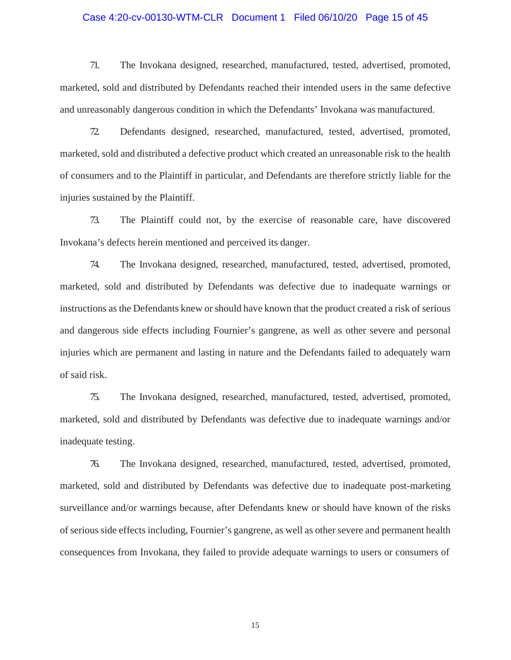# Case 4:20-cv-00130-WTM-CLR Document 1 Filed 06/10/20 Page 15 of 45

71. The Invokana designed, researched, manufactured, tested, advertised, promoted, marketed, sold and distributed by Defendants reached their intended users in the same defective and unreasonably dangerous condition in which the Defendants' Invokana was manufactured.

72. Defendants designed, researched, manufactured, tested, advertised, promoted, marketed, sold and distributed a defective product which created an unreasonable risk to the health of consumers and to the Plaintiff in particular, and Defendants are therefore strictly liable for the injuries sustained by the Plaintiff.

73. The Plaintiff could not, by the exercise of reasonable care, have discovered Invokana's defects herein mentioned and perceived its danger.

74. The Invokana designed, researched, manufactured, tested, advertised, promoted, marketed, sold and distributed by Defendants was defective due to inadequate warnings or instructions as the Defendants knew or should have known that the product created a risk of serious and dangerous side effects including Fournier's gangrene, as well as other severe and personal injuries which are permanent and lasting in nature and the Defendants failed to adequately warn of said risk.

75. The Invokana designed, researched, manufactured, tested, advertised, promoted, marketed, sold and distributed by Defendants was defective due to inadequate warnings and/or inadequate testing.

76. The Invokana designed, researched, manufactured, tested, advertised, promoted, marketed, sold and distributed by Defendants was defective due to inadequate post-marketing surveillance and/or warnings because, after Defendants knew or should have known of the risks of serious side effects including, Fournier's gangrene, as well as other severe and permanent health consequences from Invokana, they failed to provide adequate warnings to users or consumers of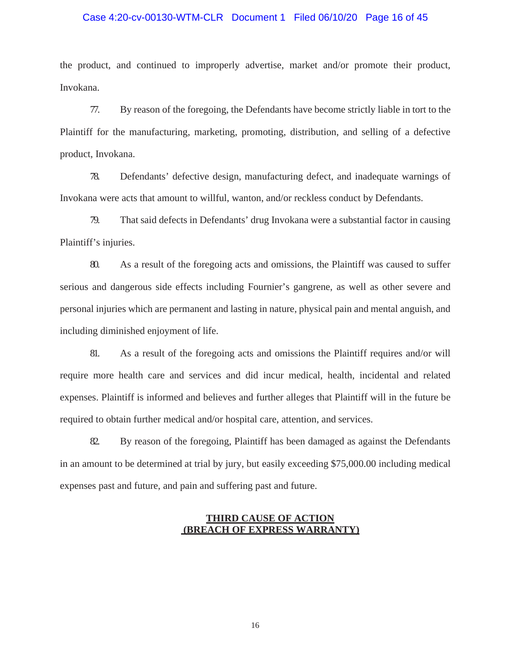#### Case 4:20-cv-00130-WTM-CLR Document 1 Filed 06/10/20 Page 16 of 45

the product, and continued to improperly advertise, market and/or promote their product, Invokana.

77. By reason of the foregoing, the Defendants have become strictly liable in tort to the Plaintiff for the manufacturing, marketing, promoting, distribution, and selling of a defective product, Invokana.

78. Defendants' defective design, manufacturing defect, and inadequate warnings of Invokana were acts that amount to willful, wanton, and/or reckless conduct by Defendants.

79. That said defects in Defendants' drug Invokana were a substantial factor in causing Plaintiff's injuries.

80. As a result of the foregoing acts and omissions, the Plaintiff was caused to suffer serious and dangerous side effects including Fournier's gangrene, as well as other severe and personal injuries which are permanent and lasting in nature, physical pain and mental anguish, and including diminished enjoyment of life.

81. As a result of the foregoing acts and omissions the Plaintiff requires and/or will require more health care and services and did incur medical, health, incidental and related expenses. Plaintiff is informed and believes and further alleges that Plaintiff will in the future be required to obtain further medical and/or hospital care, attention, and services.

82. By reason of the foregoing, Plaintiff has been damaged as against the Defendants in an amount to be determined at trial by jury, but easily exceeding \$75,000.00 including medical expenses past and future, and pain and suffering past and future.

## **THIRD CAUSE OF ACTION (BREACH OF EXPRESS WARRANTY)**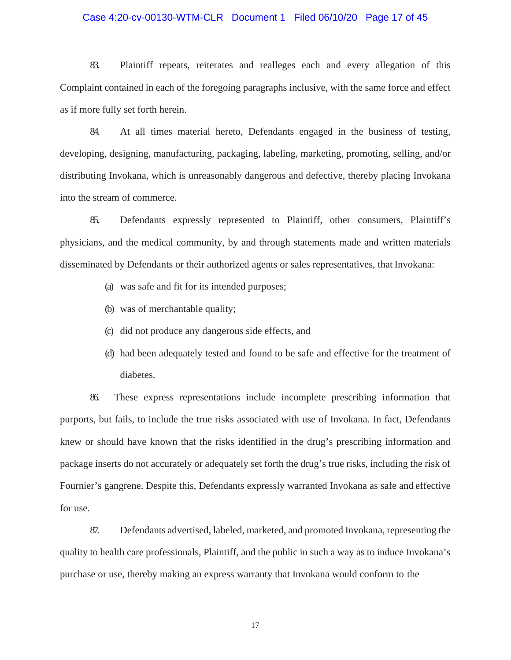# Case 4:20-cv-00130-WTM-CLR Document 1 Filed 06/10/20 Page 17 of 45

83. Plaintiff repeats, reiterates and realleges each and every allegation of this Complaint contained in each of the foregoing paragraphs inclusive, with the same force and effect as if more fully set forth herein.

84. At all times material hereto, Defendants engaged in the business of testing, developing, designing, manufacturing, packaging, labeling, marketing, promoting, selling, and/or distributing Invokana, which is unreasonably dangerous and defective, thereby placing Invokana into the stream of commerce.

85. Defendants expressly represented to Plaintiff, other consumers, Plaintiff's physicians, and the medical community, by and through statements made and written materials disseminated by Defendants or their authorized agents or sales representatives, that Invokana:

- (a) was safe and fit for its intended purposes;
- (b) was of merchantable quality;
- (c) did not produce any dangerous side effects, and
- (d) had been adequately tested and found to be safe and effective for the treatment of diabetes.

86. These express representations include incomplete prescribing information that purports, but fails, to include the true risks associated with use of Invokana. In fact, Defendants knew or should have known that the risks identified in the drug's prescribing information and package inserts do not accurately or adequately set forth the drug's true risks, including the risk of Fournier's gangrene. Despite this, Defendants expressly warranted Invokana as safe and effective for use.

87. Defendants advertised, labeled, marketed, and promoted Invokana, representing the quality to health care professionals, Plaintiff, and the public in such a way as to induce Invokana's purchase or use, thereby making an express warranty that Invokana would conform to the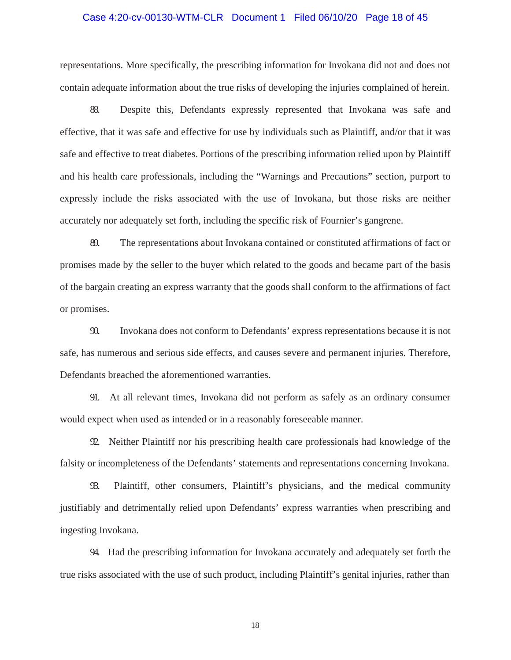#### Case 4:20-cv-00130-WTM-CLR Document 1 Filed 06/10/20 Page 18 of 45

representations. More specifically, the prescribing information for Invokana did not and does not contain adequate information about the true risks of developing the injuries complained of herein.

88. Despite this, Defendants expressly represented that Invokana was safe and effective, that it was safe and effective for use by individuals such as Plaintiff, and/or that it was safe and effective to treat diabetes. Portions of the prescribing information relied upon by Plaintiff and his health care professionals, including the "Warnings and Precautions" section, purport to expressly include the risks associated with the use of Invokana, but those risks are neither accurately nor adequately set forth, including the specific risk of Fournier's gangrene.

89. The representations about Invokana contained or constituted affirmations of fact or promises made by the seller to the buyer which related to the goods and became part of the basis of the bargain creating an express warranty that the goods shall conform to the affirmations of fact or promises.

90. Invokana does not conform to Defendants' express representations because it is not safe, has numerous and serious side effects, and causes severe and permanent injuries. Therefore, Defendants breached the aforementioned warranties.

91. At all relevant times, Invokana did not perform as safely as an ordinary consumer would expect when used as intended or in a reasonably foreseeable manner.

92. Neither Plaintiff nor his prescribing health care professionals had knowledge of the falsity or incompleteness of the Defendants' statements and representations concerning Invokana.

93. Plaintiff, other consumers, Plaintiff's physicians, and the medical community justifiably and detrimentally relied upon Defendants' express warranties when prescribing and ingesting Invokana.

94. Had the prescribing information for Invokana accurately and adequately set forth the true risks associated with the use of such product, including Plaintiff's genital injuries, rather than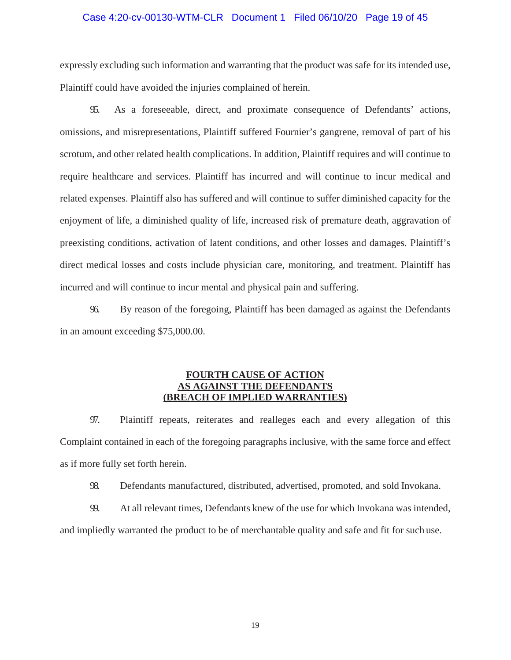# Case 4:20-cv-00130-WTM-CLR Document 1 Filed 06/10/20 Page 19 of 45

expressly excluding such information and warranting that the product was safe for its intended use, Plaintiff could have avoided the injuries complained of herein.

95. As a foreseeable, direct, and proximate consequence of Defendants' actions, omissions, and misrepresentations, Plaintiff suffered Fournier's gangrene, removal of part of his scrotum, and other related health complications. In addition, Plaintiff requires and will continue to require healthcare and services. Plaintiff has incurred and will continue to incur medical and related expenses. Plaintiff also has suffered and will continue to suffer diminished capacity for the enjoyment of life, a diminished quality of life, increased risk of premature death, aggravation of preexisting conditions, activation of latent conditions, and other losses and damages. Plaintiff's direct medical losses and costs include physician care, monitoring, and treatment. Plaintiff has incurred and will continue to incur mental and physical pain and suffering.

96. By reason of the foregoing, Plaintiff has been damaged as against the Defendants in an amount exceeding \$75,000.00.

### **FOURTH CAUSE OF ACTION AS AGAINST THE DEFENDANTS (BREACH OF IMPLIED WARRANTIES)**

97. Plaintiff repeats, reiterates and realleges each and every allegation of this Complaint contained in each of the foregoing paragraphs inclusive, with the same force and effect as if more fully set forth herein.

98. Defendants manufactured, distributed, advertised, promoted, and sold Invokana.

99. At all relevant times, Defendants knew of the use for which Invokana was intended, and impliedly warranted the product to be of merchantable quality and safe and fit for such use.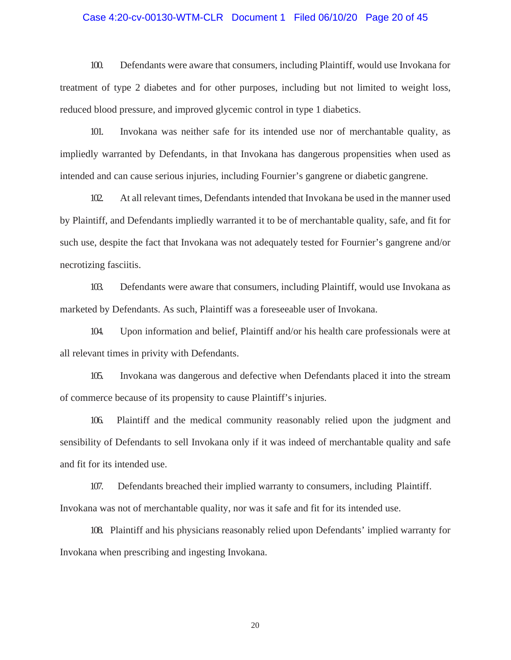# Case 4:20-cv-00130-WTM-CLR Document 1 Filed 06/10/20 Page 20 of 45

100. Defendants were aware that consumers, including Plaintiff, would use Invokana for treatment of type 2 diabetes and for other purposes, including but not limited to weight loss, reduced blood pressure, and improved glycemic control in type 1 diabetics.

101. Invokana was neither safe for its intended use nor of merchantable quality, as impliedly warranted by Defendants, in that Invokana has dangerous propensities when used as intended and can cause serious injuries, including Fournier's gangrene or diabetic gangrene.

102. At all relevant times, Defendants intended that Invokana be used in the manner used by Plaintiff, and Defendants impliedly warranted it to be of merchantable quality, safe, and fit for such use, despite the fact that Invokana was not adequately tested for Fournier's gangrene and/or necrotizing fasciitis.

103. Defendants were aware that consumers, including Plaintiff, would use Invokana as marketed by Defendants. As such, Plaintiff was a foreseeable user of Invokana.

104. Upon information and belief, Plaintiff and/or his health care professionals were at all relevant times in privity with Defendants.

105. Invokana was dangerous and defective when Defendants placed it into the stream of commerce because of its propensity to cause Plaintiff's injuries.

106. Plaintiff and the medical community reasonably relied upon the judgment and sensibility of Defendants to sell Invokana only if it was indeed of merchantable quality and safe and fit for its intended use.

107. Defendants breached their implied warranty to consumers, including Plaintiff. Invokana was not of merchantable quality, nor was it safe and fit for its intended use.

108. Plaintiff and his physicians reasonably relied upon Defendants' implied warranty for Invokana when prescribing and ingesting Invokana.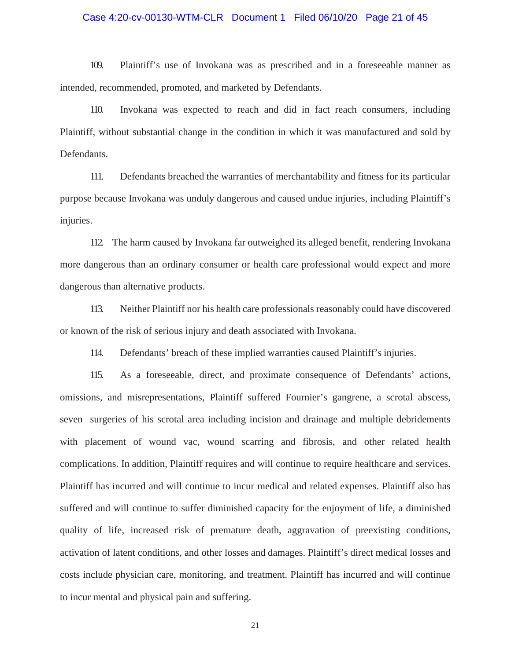# Case 4:20-cv-00130-WTM-CLR Document 1 Filed 06/10/20 Page 21 of 45

109. Plaintiff's use of Invokana was as prescribed and in a foreseeable manner as intended, recommended, promoted, and marketed by Defendants.

110. Invokana was expected to reach and did in fact reach consumers, including Plaintiff, without substantial change in the condition in which it was manufactured and sold by Defendants.

111. Defendants breached the warranties of merchantability and fitness for its particular purpose because Invokana was unduly dangerous and caused undue injuries, including Plaintiff's injuries.

112. The harm caused by Invokana far outweighed its alleged benefit, rendering Invokana more dangerous than an ordinary consumer or health care professional would expect and more dangerous than alternative products.

113. Neither Plaintiff nor his health care professionals reasonably could have discovered or known of the risk of serious injury and death associated with Invokana.

114. Defendants' breach of these implied warranties caused Plaintiff's injuries.

115. As a foreseeable, direct, and proximate consequence of Defendants' actions, omissions, and misrepresentations, Plaintiff suffered Fournier's gangrene, a scrotal abscess, seven surgeries of his scrotal area including incision and drainage and multiple debridements with placement of wound vac, wound scarring and fibrosis, and other related health complications. In addition, Plaintiff requires and will continue to require healthcare and services. Plaintiff has incurred and will continue to incur medical and related expenses. Plaintiff also has suffered and will continue to suffer diminished capacity for the enjoyment of life, a diminished quality of life, increased risk of premature death, aggravation of preexisting conditions, activation of latent conditions, and other losses and damages. Plaintiff's direct medical losses and costs include physician care, monitoring, and treatment. Plaintiff has incurred and will continue to incur mental and physical pain and suffering.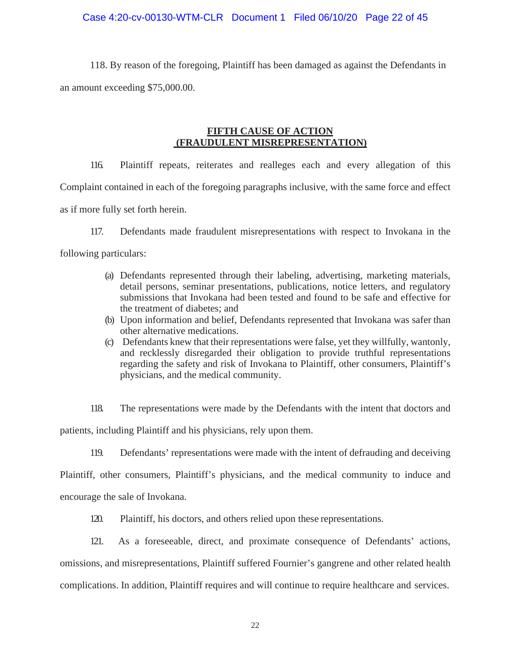## Case 4:20-cv-00130-WTM-CLR Document 1 Filed 06/10/20 Page 22 of 45

118. By reason of the foregoing, Plaintiff has been damaged as against the Defendants in an amount exceeding \$75,000.00.

## **FIFTH CAUSE OF ACTION (FRAUDULENT MISREPRESENTATION)**

116. Plaintiff repeats, reiterates and realleges each and every allegation of this Complaint contained in each of the foregoing paragraphs inclusive, with the same force and effect as if more fully set forth herein.

117. Defendants made fraudulent misrepresentations with respect to Invokana in the

following particulars:

- (a) Defendants represented through their labeling, advertising, marketing materials, detail persons, seminar presentations, publications, notice letters, and regulatory submissions that Invokana had been tested and found to be safe and effective for the treatment of diabetes; and
- (b) Upon information and belief, Defendants represented that Invokana was safer than other alternative medications.
- (c) Defendants knew that their representations were false, yet they willfully, wantonly, and recklessly disregarded their obligation to provide truthful representations regarding the safety and risk of Invokana to Plaintiff, other consumers, Plaintiff's physicians, and the medical community.

118. The representations were made by the Defendants with the intent that doctors and patients, including Plaintiff and his physicians, rely upon them.

119. Defendants' representations were made with the intent of defrauding and deceiving

Plaintiff, other consumers, Plaintiff's physicians, and the medical community to induce and encourage the sale of Invokana.

120. Plaintiff, his doctors, and others relied upon these representations.

121. As a foreseeable, direct, and proximate consequence of Defendants' actions, omissions, and misrepresentations, Plaintiff suffered Fournier's gangrene and other related health complications. In addition, Plaintiff requires and will continue to require healthcare and services.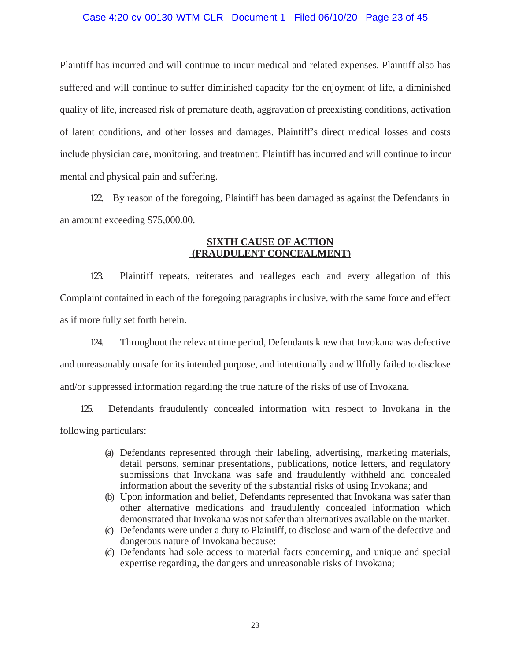## Case 4:20-cv-00130-WTM-CLR Document 1 Filed 06/10/20 Page 23 of 45

Plaintiff has incurred and will continue to incur medical and related expenses. Plaintiff also has suffered and will continue to suffer diminished capacity for the enjoyment of life, a diminished quality of life, increased risk of premature death, aggravation of preexisting conditions, activation of latent conditions, and other losses and damages. Plaintiff's direct medical losses and costs include physician care, monitoring, and treatment. Plaintiff has incurred and will continue to incur mental and physical pain and suffering.

122. By reason of the foregoing, Plaintiff has been damaged as against the Defendants in an amount exceeding \$75,000.00.

### **SIXTH CAUSE OF ACTION (FRAUDULENT CONCEALMENT)**

123. Plaintiff repeats, reiterates and realleges each and every allegation of this Complaint contained in each of the foregoing paragraphs inclusive, with the same force and effect as if more fully set forth herein.

124. Throughout the relevant time period, Defendants knew that Invokana was defective and unreasonably unsafe for its intended purpose, and intentionally and willfully failed to disclose and/or suppressed information regarding the true nature of the risks of use of Invokana.

125. Defendants fraudulently concealed information with respect to Invokana in the following particulars:

- (a) Defendants represented through their labeling, advertising, marketing materials, detail persons, seminar presentations, publications, notice letters, and regulatory submissions that Invokana was safe and fraudulently withheld and concealed information about the severity of the substantial risks of using Invokana; and
- (b) Upon information and belief, Defendants represented that Invokana was safer than other alternative medications and fraudulently concealed information which demonstrated that Invokana was not safer than alternatives available on the market.
- (c) Defendants were under a duty to Plaintiff, to disclose and warn of the defective and dangerous nature of Invokana because:
- (d) Defendants had sole access to material facts concerning, and unique and special expertise regarding, the dangers and unreasonable risks of Invokana;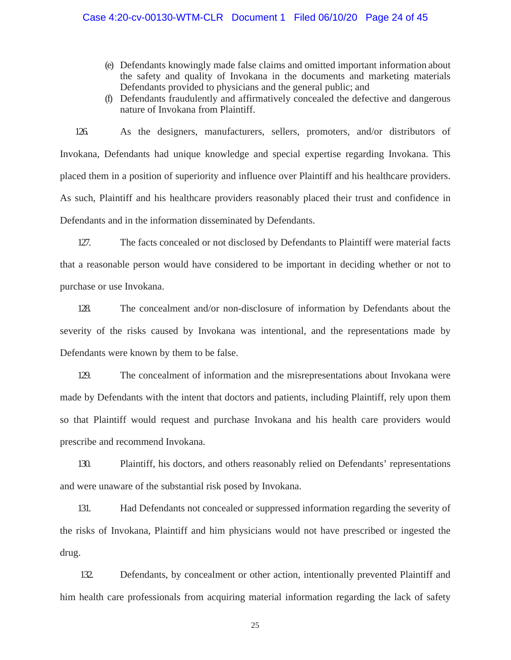### Case 4:20-cv-00130-WTM-CLR Document 1 Filed 06/10/20 Page 24 of 45

- (e) Defendants knowingly made false claims and omitted important information about the safety and quality of Invokana in the documents and marketing materials Defendants provided to physicians and the general public; and
- (f) Defendants fraudulently and affirmatively concealed the defective and dangerous nature of Invokana from Plaintiff.

126. As the designers, manufacturers, sellers, promoters, and/or distributors of Invokana, Defendants had unique knowledge and special expertise regarding Invokana. This placed them in a position of superiority and influence over Plaintiff and his healthcare providers. As such, Plaintiff and his healthcare providers reasonably placed their trust and confidence in Defendants and in the information disseminated by Defendants.

127. The facts concealed or not disclosed by Defendants to Plaintiff were material facts that a reasonable person would have considered to be important in deciding whether or not to purchase or use Invokana.

128. The concealment and/or non-disclosure of information by Defendants about the severity of the risks caused by Invokana was intentional, and the representations made by Defendants were known by them to be false.

129. The concealment of information and the misrepresentations about Invokana were made by Defendants with the intent that doctors and patients, including Plaintiff, rely upon them so that Plaintiff would request and purchase Invokana and his health care providers would prescribe and recommend Invokana.

130. Plaintiff, his doctors, and others reasonably relied on Defendants' representations and were unaware of the substantial risk posed by Invokana.

131. Had Defendants not concealed or suppressed information regarding the severity of the risks of Invokana, Plaintiff and him physicians would not have prescribed or ingested the drug.

132. Defendants, by concealment or other action, intentionally prevented Plaintiff and him health care professionals from acquiring material information regarding the lack of safety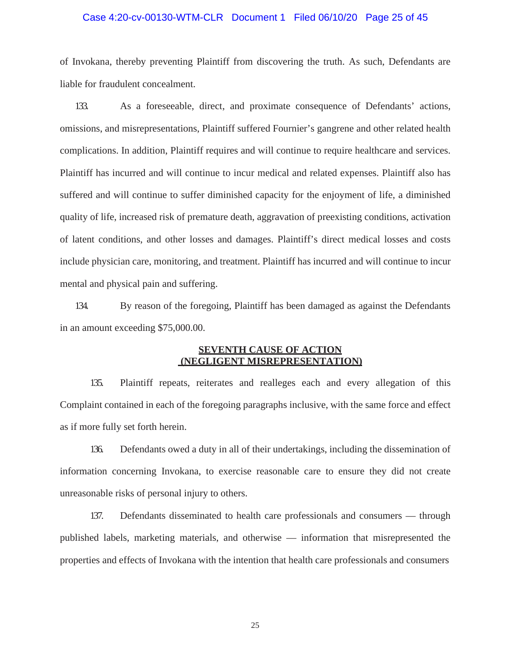#### Case 4:20-cv-00130-WTM-CLR Document 1 Filed 06/10/20 Page 25 of 45

of Invokana, thereby preventing Plaintiff from discovering the truth. As such, Defendants are liable for fraudulent concealment.

133. As a foreseeable, direct, and proximate consequence of Defendants' actions, omissions, and misrepresentations, Plaintiff suffered Fournier's gangrene and other related health complications. In addition, Plaintiff requires and will continue to require healthcare and services. Plaintiff has incurred and will continue to incur medical and related expenses. Plaintiff also has suffered and will continue to suffer diminished capacity for the enjoyment of life, a diminished quality of life, increased risk of premature death, aggravation of preexisting conditions, activation of latent conditions, and other losses and damages. Plaintiff's direct medical losses and costs include physician care, monitoring, and treatment. Plaintiff has incurred and will continue to incur mental and physical pain and suffering.

134. By reason of the foregoing, Plaintiff has been damaged as against the Defendants in an amount exceeding \$75,000.00.

### **SEVENTH CAUSE OF ACTION (NEGLIGENT MISREPRESENTATION)**

135. Plaintiff repeats, reiterates and realleges each and every allegation of this Complaint contained in each of the foregoing paragraphs inclusive, with the same force and effect as if more fully set forth herein.

136. Defendants owed a duty in all of their undertakings, including the dissemination of information concerning Invokana, to exercise reasonable care to ensure they did not create unreasonable risks of personal injury to others.

137. Defendants disseminated to health care professionals and consumers — through published labels, marketing materials, and otherwise — information that misrepresented the properties and effects of Invokana with the intention that health care professionals and consumers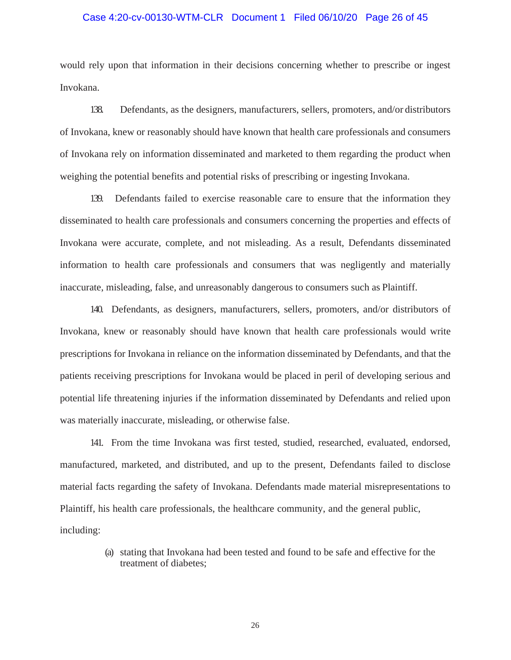# Case 4:20-cv-00130-WTM-CLR Document 1 Filed 06/10/20 Page 26 of 45

would rely upon that information in their decisions concerning whether to prescribe or ingest Invokana.

138. Defendants, as the designers, manufacturers, sellers, promoters, and/or distributors of Invokana, knew or reasonably should have known that health care professionals and consumers of Invokana rely on information disseminated and marketed to them regarding the product when weighing the potential benefits and potential risks of prescribing or ingesting Invokana.

139. Defendants failed to exercise reasonable care to ensure that the information they disseminated to health care professionals and consumers concerning the properties and effects of Invokana were accurate, complete, and not misleading. As a result, Defendants disseminated information to health care professionals and consumers that was negligently and materially inaccurate, misleading, false, and unreasonably dangerous to consumers such as Plaintiff.

140. Defendants, as designers, manufacturers, sellers, promoters, and/or distributors of Invokana, knew or reasonably should have known that health care professionals would write prescriptions for Invokana in reliance on the information disseminated by Defendants, and that the patients receiving prescriptions for Invokana would be placed in peril of developing serious and potential life threatening injuries if the information disseminated by Defendants and relied upon was materially inaccurate, misleading, or otherwise false.

141. From the time Invokana was first tested, studied, researched, evaluated, endorsed, manufactured, marketed, and distributed, and up to the present, Defendants failed to disclose material facts regarding the safety of Invokana. Defendants made material misrepresentations to Plaintiff, his health care professionals, the healthcare community, and the general public, including:

> (a) stating that Invokana had been tested and found to be safe and effective for the treatment of diabetes;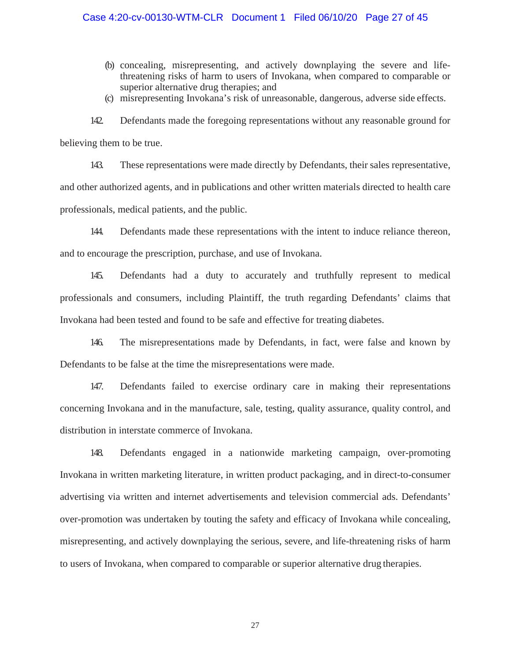# Case 4:20-cv-00130-WTM-CLR Document 1 Filed 06/10/20 Page 27 of 45

- (b) concealing, misrepresenting, and actively downplaying the severe and lifethreatening risks of harm to users of Invokana, when compared to comparable or superior alternative drug therapies; and
- (c) misrepresenting Invokana's risk of unreasonable, dangerous, adverse side effects.

142. Defendants made the foregoing representations without any reasonable ground for believing them to be true.

143. These representations were made directly by Defendants, their sales representative, and other authorized agents, and in publications and other written materials directed to health care professionals, medical patients, and the public.

144. Defendants made these representations with the intent to induce reliance thereon, and to encourage the prescription, purchase, and use of Invokana.

145. Defendants had a duty to accurately and truthfully represent to medical professionals and consumers, including Plaintiff, the truth regarding Defendants' claims that Invokana had been tested and found to be safe and effective for treating diabetes.

146. The misrepresentations made by Defendants, in fact, were false and known by Defendants to be false at the time the misrepresentations were made.

147. Defendants failed to exercise ordinary care in making their representations concerning Invokana and in the manufacture, sale, testing, quality assurance, quality control, and distribution in interstate commerce of Invokana.

148. Defendants engaged in a nationwide marketing campaign, over-promoting Invokana in written marketing literature, in written product packaging, and in direct-to-consumer advertising via written and internet advertisements and television commercial ads. Defendants' over-promotion was undertaken by touting the safety and efficacy of Invokana while concealing, misrepresenting, and actively downplaying the serious, severe, and life-threatening risks of harm to users of Invokana, when compared to comparable or superior alternative drug therapies.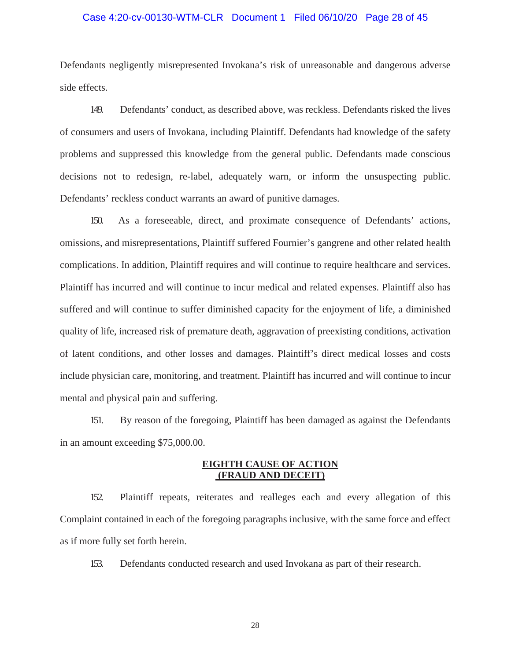# Case 4:20-cv-00130-WTM-CLR Document 1 Filed 06/10/20 Page 28 of 45

Defendants negligently misrepresented Invokana's risk of unreasonable and dangerous adverse side effects.

149. Defendants' conduct, as described above, was reckless. Defendants risked the lives of consumers and users of Invokana, including Plaintiff. Defendants had knowledge of the safety problems and suppressed this knowledge from the general public. Defendants made conscious decisions not to redesign, re-label, adequately warn, or inform the unsuspecting public. Defendants' reckless conduct warrants an award of punitive damages.

150. As a foreseeable, direct, and proximate consequence of Defendants' actions, omissions, and misrepresentations, Plaintiff suffered Fournier's gangrene and other related health complications. In addition, Plaintiff requires and will continue to require healthcare and services. Plaintiff has incurred and will continue to incur medical and related expenses. Plaintiff also has suffered and will continue to suffer diminished capacity for the enjoyment of life, a diminished quality of life, increased risk of premature death, aggravation of preexisting conditions, activation of latent conditions, and other losses and damages. Plaintiff's direct medical losses and costs include physician care, monitoring, and treatment. Plaintiff has incurred and will continue to incur mental and physical pain and suffering.

151. By reason of the foregoing, Plaintiff has been damaged as against the Defendants in an amount exceeding \$75,000.00.

#### **EIGHTH CAUSE OF ACTION (FRAUD AND DECEIT)**

152. Plaintiff repeats, reiterates and realleges each and every allegation of this Complaint contained in each of the foregoing paragraphs inclusive, with the same force and effect as if more fully set forth herein.

153. Defendants conducted research and used Invokana as part of their research.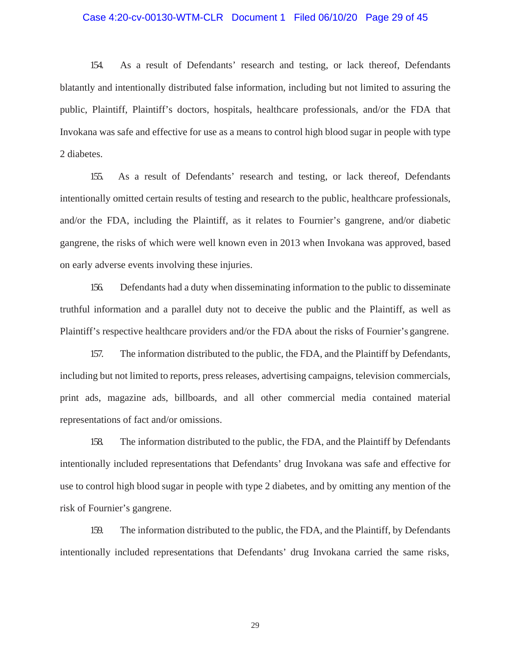# Case 4:20-cv-00130-WTM-CLR Document 1 Filed 06/10/20 Page 29 of 45

154. As a result of Defendants' research and testing, or lack thereof, Defendants blatantly and intentionally distributed false information, including but not limited to assuring the public, Plaintiff, Plaintiff's doctors, hospitals, healthcare professionals, and/or the FDA that Invokana was safe and effective for use as a means to control high blood sugar in people with type 2 diabetes.

155. As a result of Defendants' research and testing, or lack thereof, Defendants intentionally omitted certain results of testing and research to the public, healthcare professionals, and/or the FDA, including the Plaintiff, as it relates to Fournier's gangrene, and/or diabetic gangrene, the risks of which were well known even in 2013 when Invokana was approved, based on early adverse events involving these injuries.

156. Defendants had a duty when disseminating information to the public to disseminate truthful information and a parallel duty not to deceive the public and the Plaintiff, as well as Plaintiff's respective healthcare providers and/or the FDA about the risks of Fournier's gangrene.

157. The information distributed to the public, the FDA, and the Plaintiff by Defendants, including but not limited to reports, press releases, advertising campaigns, television commercials, print ads, magazine ads, billboards, and all other commercial media contained material representations of fact and/or omissions.

158. The information distributed to the public, the FDA, and the Plaintiff by Defendants intentionally included representations that Defendants' drug Invokana was safe and effective for use to control high blood sugar in people with type 2 diabetes, and by omitting any mention of the risk of Fournier's gangrene.

159. The information distributed to the public, the FDA, and the Plaintiff, by Defendants intentionally included representations that Defendants' drug Invokana carried the same risks,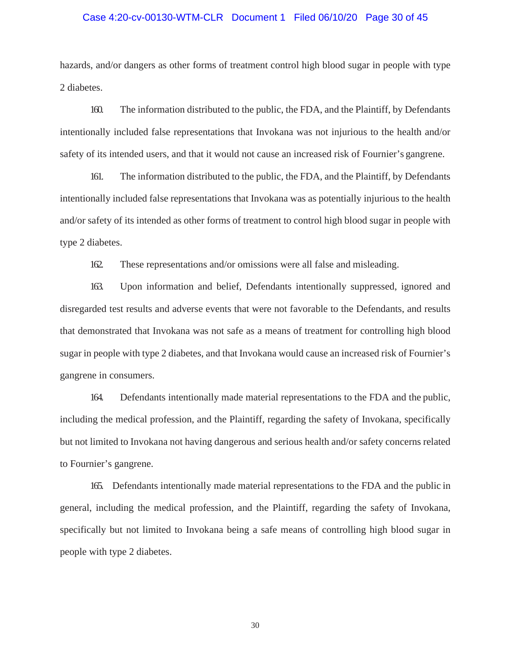#### Case 4:20-cv-00130-WTM-CLR Document 1 Filed 06/10/20 Page 30 of 45

hazards, and/or dangers as other forms of treatment control high blood sugar in people with type 2 diabetes.

160. The information distributed to the public, the FDA, and the Plaintiff, by Defendants intentionally included false representations that Invokana was not injurious to the health and/or safety of its intended users, and that it would not cause an increased risk of Fournier's gangrene.

161. The information distributed to the public, the FDA, and the Plaintiff, by Defendants intentionally included false representations that Invokana was as potentially injurious to the health and/or safety of its intended as other forms of treatment to control high blood sugar in people with type 2 diabetes.

162. These representations and/or omissions were all false and misleading.

163. Upon information and belief, Defendants intentionally suppressed, ignored and disregarded test results and adverse events that were not favorable to the Defendants, and results that demonstrated that Invokana was not safe as a means of treatment for controlling high blood sugar in people with type 2 diabetes, and that Invokana would cause an increased risk of Fournier's gangrene in consumers.

164. Defendants intentionally made material representations to the FDA and the public, including the medical profession, and the Plaintiff, regarding the safety of Invokana, specifically but not limited to Invokana not having dangerous and serious health and/or safety concerns related to Fournier's gangrene.

165. Defendants intentionally made material representations to the FDA and the public in general, including the medical profession, and the Plaintiff, regarding the safety of Invokana, specifically but not limited to Invokana being a safe means of controlling high blood sugar in people with type 2 diabetes.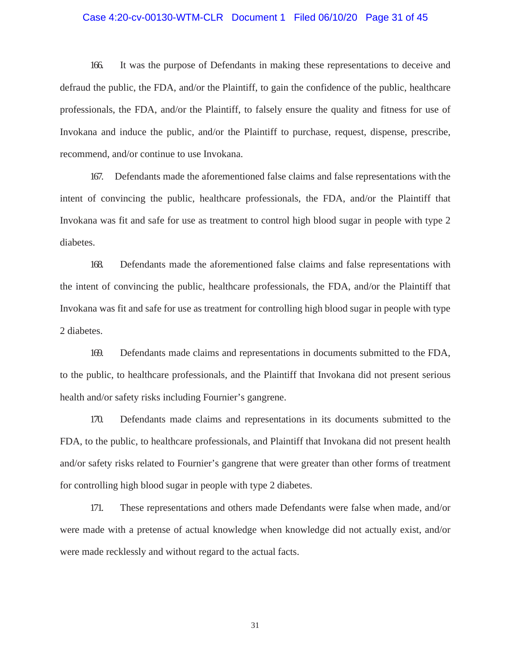# Case 4:20-cv-00130-WTM-CLR Document 1 Filed 06/10/20 Page 31 of 45

166. It was the purpose of Defendants in making these representations to deceive and defraud the public, the FDA, and/or the Plaintiff, to gain the confidence of the public, healthcare professionals, the FDA, and/or the Plaintiff, to falsely ensure the quality and fitness for use of Invokana and induce the public, and/or the Plaintiff to purchase, request, dispense, prescribe, recommend, and/or continue to use Invokana.

167. Defendants made the aforementioned false claims and false representations with the intent of convincing the public, healthcare professionals, the FDA, and/or the Plaintiff that Invokana was fit and safe for use as treatment to control high blood sugar in people with type 2 diabetes.

168. Defendants made the aforementioned false claims and false representations with the intent of convincing the public, healthcare professionals, the FDA, and/or the Plaintiff that Invokana was fit and safe for use as treatment for controlling high blood sugar in people with type 2 diabetes.

169. Defendants made claims and representations in documents submitted to the FDA, to the public, to healthcare professionals, and the Plaintiff that Invokana did not present serious health and/or safety risks including Fournier's gangrene.

170. Defendants made claims and representations in its documents submitted to the FDA, to the public, to healthcare professionals, and Plaintiff that Invokana did not present health and/or safety risks related to Fournier's gangrene that were greater than other forms of treatment for controlling high blood sugar in people with type 2 diabetes.

171. These representations and others made Defendants were false when made, and/or were made with a pretense of actual knowledge when knowledge did not actually exist, and/or were made recklessly and without regard to the actual facts.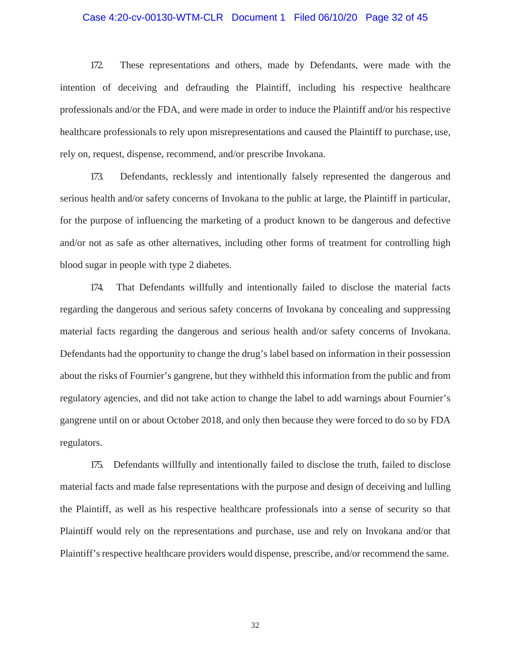#### Case 4:20-cv-00130-WTM-CLR Document 1 Filed 06/10/20 Page 32 of 45

172. These representations and others, made by Defendants, were made with the intention of deceiving and defrauding the Plaintiff, including his respective healthcare professionals and/or the FDA, and were made in order to induce the Plaintiff and/or his respective healthcare professionals to rely upon misrepresentations and caused the Plaintiff to purchase, use, rely on, request, dispense, recommend, and/or prescribe Invokana.

173. Defendants, recklessly and intentionally falsely represented the dangerous and serious health and/or safety concerns of Invokana to the public at large, the Plaintiff in particular, for the purpose of influencing the marketing of a product known to be dangerous and defective and/or not as safe as other alternatives, including other forms of treatment for controlling high blood sugar in people with type 2 diabetes.

174. That Defendants willfully and intentionally failed to disclose the material facts regarding the dangerous and serious safety concerns of Invokana by concealing and suppressing material facts regarding the dangerous and serious health and/or safety concerns of Invokana. Defendants had the opportunity to change the drug's label based on information in their possession about the risks of Fournier's gangrene, but they withheld this information from the public and from regulatory agencies, and did not take action to change the label to add warnings about Fournier's gangrene until on or about October 2018, and only then because they were forced to do so by FDA regulators.

175. Defendants willfully and intentionally failed to disclose the truth, failed to disclose material facts and made false representations with the purpose and design of deceiving and lulling the Plaintiff, as well as his respective healthcare professionals into a sense of security so that Plaintiff would rely on the representations and purchase, use and rely on Invokana and/or that Plaintiff's respective healthcare providers would dispense, prescribe, and/or recommend the same.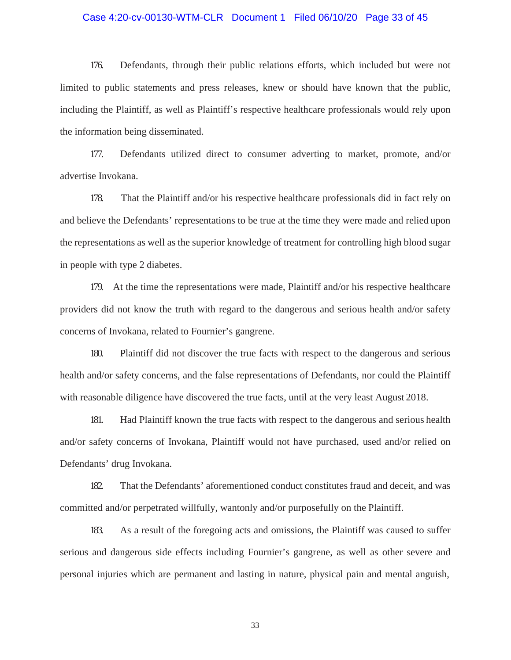#### Case 4:20-cv-00130-WTM-CLR Document 1 Filed 06/10/20 Page 33 of 45

176. Defendants, through their public relations efforts, which included but were not limited to public statements and press releases, knew or should have known that the public, including the Plaintiff, as well as Plaintiff's respective healthcare professionals would rely upon the information being disseminated.

177. Defendants utilized direct to consumer adverting to market, promote, and/or advertise Invokana.

178. That the Plaintiff and/or his respective healthcare professionals did in fact rely on and believe the Defendants' representations to be true at the time they were made and relied upon the representations as well as the superior knowledge of treatment for controlling high blood sugar in people with type 2 diabetes.

179. At the time the representations were made, Plaintiff and/or his respective healthcare providers did not know the truth with regard to the dangerous and serious health and/or safety concerns of Invokana, related to Fournier's gangrene.

180. Plaintiff did not discover the true facts with respect to the dangerous and serious health and/or safety concerns, and the false representations of Defendants, nor could the Plaintiff with reasonable diligence have discovered the true facts, until at the very least August 2018.

181. Had Plaintiff known the true facts with respect to the dangerous and serious health and/or safety concerns of Invokana, Plaintiff would not have purchased, used and/or relied on Defendants' drug Invokana.

182. That the Defendants' aforementioned conduct constitutes fraud and deceit, and was committed and/or perpetrated willfully, wantonly and/or purposefully on the Plaintiff.

183. As a result of the foregoing acts and omissions, the Plaintiff was caused to suffer serious and dangerous side effects including Fournier's gangrene, as well as other severe and personal injuries which are permanent and lasting in nature, physical pain and mental anguish,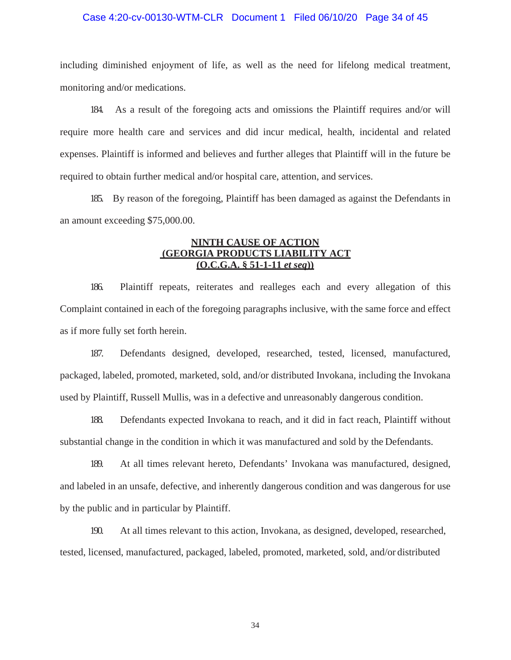#### Case 4:20-cv-00130-WTM-CLR Document 1 Filed 06/10/20 Page 34 of 45

including diminished enjoyment of life, as well as the need for lifelong medical treatment, monitoring and/or medications.

184. As a result of the foregoing acts and omissions the Plaintiff requires and/or will require more health care and services and did incur medical, health, incidental and related expenses. Plaintiff is informed and believes and further alleges that Plaintiff will in the future be required to obtain further medical and/or hospital care, attention, and services.

185. By reason of the foregoing, Plaintiff has been damaged as against the Defendants in an amount exceeding \$75,000.00.

## **NINTH CAUSE OF ACTION (GEORGIA PRODUCTS LIABILITY ACT (O.C.G.A. § 51-1-11** *et seq***))**

186. Plaintiff repeats, reiterates and realleges each and every allegation of this Complaint contained in each of the foregoing paragraphs inclusive, with the same force and effect as if more fully set forth herein.

187. Defendants designed, developed, researched, tested, licensed, manufactured, packaged, labeled, promoted, marketed, sold, and/or distributed Invokana, including the Invokana used by Plaintiff, Russell Mullis, was in a defective and unreasonably dangerous condition.

188. Defendants expected Invokana to reach, and it did in fact reach, Plaintiff without substantial change in the condition in which it was manufactured and sold by the Defendants.

189. At all times relevant hereto, Defendants' Invokana was manufactured, designed, and labeled in an unsafe, defective, and inherently dangerous condition and was dangerous for use by the public and in particular by Plaintiff.

190. At all times relevant to this action, Invokana, as designed, developed, researched, tested, licensed, manufactured, packaged, labeled, promoted, marketed, sold, and/or distributed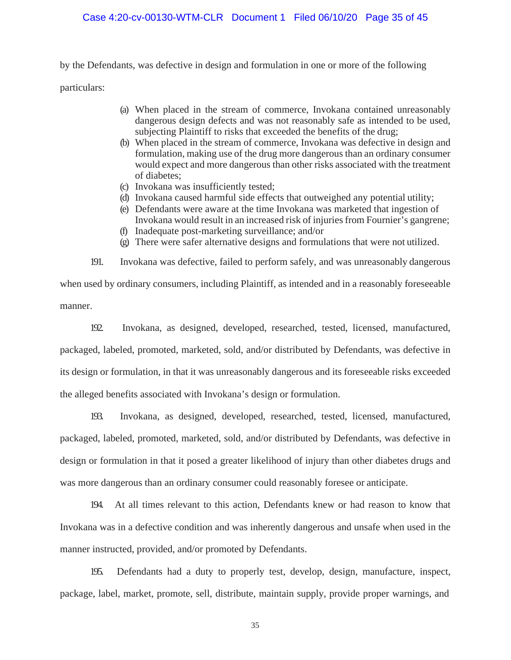## Case 4:20-cv-00130-WTM-CLR Document 1 Filed 06/10/20 Page 35 of 45

by the Defendants, was defective in design and formulation in one or more of the following

particulars:

- (a) When placed in the stream of commerce, Invokana contained unreasonably dangerous design defects and was not reasonably safe as intended to be used, subjecting Plaintiff to risks that exceeded the benefits of the drug;
- (b) When placed in the stream of commerce, Invokana was defective in design and formulation, making use of the drug more dangerous than an ordinary consumer would expect and more dangerous than other risks associated with the treatment of diabetes;
- (c) Invokana was insufficiently tested;
- (d) Invokana caused harmful side effects that outweighed any potential utility;
- (e) Defendants were aware at the time Invokana was marketed that ingestion of Invokana would result in an increased risk of injuries from Fournier's gangrene;
- (f) Inadequate post-marketing surveillance; and/or
- (g) There were safer alternative designs and formulations that were not utilized.

191. Invokana was defective, failed to perform safely, and was unreasonably dangerous when used by ordinary consumers, including Plaintiff, as intended and in a reasonably foreseeable manner.

192. Invokana, as designed, developed, researched, tested, licensed, manufactured, packaged, labeled, promoted, marketed, sold, and/or distributed by Defendants, was defective in its design or formulation, in that it was unreasonably dangerous and its foreseeable risks exceeded the alleged benefits associated with Invokana's design or formulation.

193. Invokana, as designed, developed, researched, tested, licensed, manufactured, packaged, labeled, promoted, marketed, sold, and/or distributed by Defendants, was defective in design or formulation in that it posed a greater likelihood of injury than other diabetes drugs and was more dangerous than an ordinary consumer could reasonably foresee or anticipate.

194. At all times relevant to this action, Defendants knew or had reason to know that Invokana was in a defective condition and was inherently dangerous and unsafe when used in the manner instructed, provided, and/or promoted by Defendants.

195. Defendants had a duty to properly test, develop, design, manufacture, inspect, package, label, market, promote, sell, distribute, maintain supply, provide proper warnings, and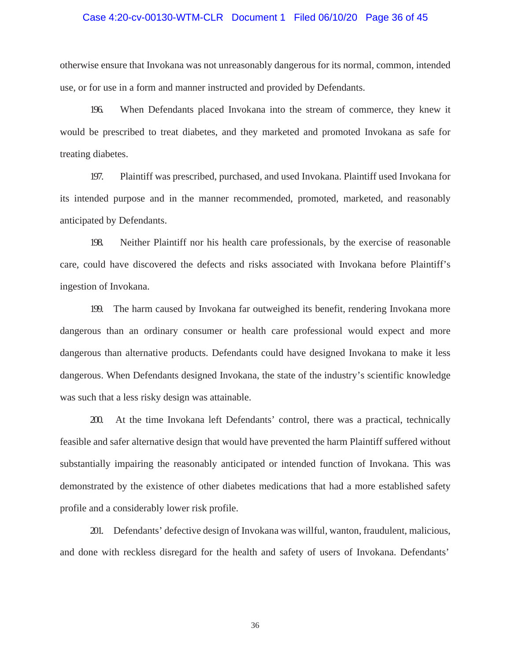# Case 4:20-cv-00130-WTM-CLR Document 1 Filed 06/10/20 Page 36 of 45

otherwise ensure that Invokana was not unreasonably dangerous for its normal, common, intended use, or for use in a form and manner instructed and provided by Defendants.

196. When Defendants placed Invokana into the stream of commerce, they knew it would be prescribed to treat diabetes, and they marketed and promoted Invokana as safe for treating diabetes.

197. Plaintiff was prescribed, purchased, and used Invokana. Plaintiff used Invokana for its intended purpose and in the manner recommended, promoted, marketed, and reasonably anticipated by Defendants.

198. Neither Plaintiff nor his health care professionals, by the exercise of reasonable care, could have discovered the defects and risks associated with Invokana before Plaintiff's ingestion of Invokana.

199. The harm caused by Invokana far outweighed its benefit, rendering Invokana more dangerous than an ordinary consumer or health care professional would expect and more dangerous than alternative products. Defendants could have designed Invokana to make it less dangerous. When Defendants designed Invokana, the state of the industry's scientific knowledge was such that a less risky design was attainable.

200. At the time Invokana left Defendants' control, there was a practical, technically feasible and safer alternative design that would have prevented the harm Plaintiff suffered without substantially impairing the reasonably anticipated or intended function of Invokana. This was demonstrated by the existence of other diabetes medications that had a more established safety profile and a considerably lower risk profile.

201. Defendants' defective design of Invokana was willful, wanton, fraudulent, malicious, and done with reckless disregard for the health and safety of users of Invokana. Defendants'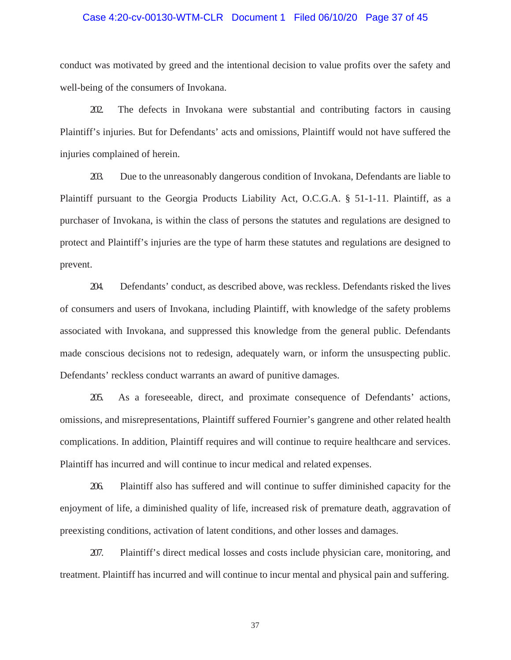# Case 4:20-cv-00130-WTM-CLR Document 1 Filed 06/10/20 Page 37 of 45

conduct was motivated by greed and the intentional decision to value profits over the safety and well-being of the consumers of Invokana.

202. The defects in Invokana were substantial and contributing factors in causing Plaintiff's injuries. But for Defendants' acts and omissions, Plaintiff would not have suffered the injuries complained of herein.

203. Due to the unreasonably dangerous condition of Invokana, Defendants are liable to Plaintiff pursuant to the Georgia Products Liability Act, O.C.G.A. § 51-1-11. Plaintiff, as a purchaser of Invokana, is within the class of persons the statutes and regulations are designed to protect and Plaintiff's injuries are the type of harm these statutes and regulations are designed to prevent.

204. Defendants' conduct, as described above, was reckless. Defendants risked the lives of consumers and users of Invokana, including Plaintiff, with knowledge of the safety problems associated with Invokana, and suppressed this knowledge from the general public. Defendants made conscious decisions not to redesign, adequately warn, or inform the unsuspecting public. Defendants' reckless conduct warrants an award of punitive damages.

205. As a foreseeable, direct, and proximate consequence of Defendants' actions, omissions, and misrepresentations, Plaintiff suffered Fournier's gangrene and other related health complications. In addition, Plaintiff requires and will continue to require healthcare and services. Plaintiff has incurred and will continue to incur medical and related expenses.

206. Plaintiff also has suffered and will continue to suffer diminished capacity for the enjoyment of life, a diminished quality of life, increased risk of premature death, aggravation of preexisting conditions, activation of latent conditions, and other losses and damages.

207. Plaintiff's direct medical losses and costs include physician care, monitoring, and treatment. Plaintiff has incurred and will continue to incur mental and physical pain and suffering.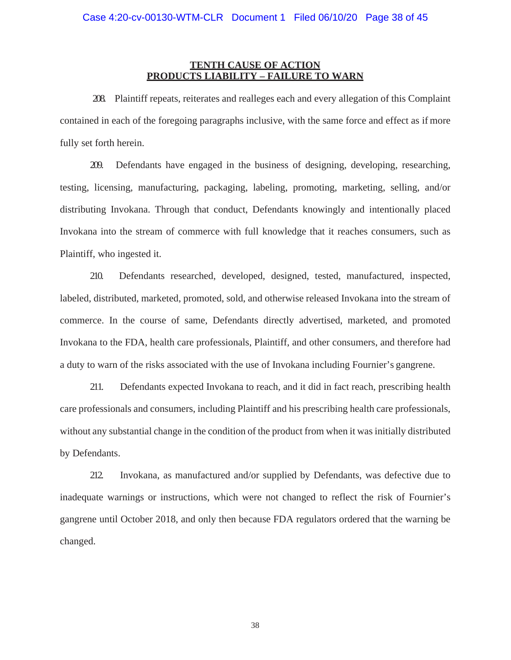### **TENTH CAUSE OF ACTION PRODUCTS LIABILITY – FAILURE TO WARN**

208. Plaintiff repeats, reiterates and realleges each and every allegation of this Complaint contained in each of the foregoing paragraphs inclusive, with the same force and effect as if more fully set forth herein.

209. Defendants have engaged in the business of designing, developing, researching, testing, licensing, manufacturing, packaging, labeling, promoting, marketing, selling, and/or distributing Invokana. Through that conduct, Defendants knowingly and intentionally placed Invokana into the stream of commerce with full knowledge that it reaches consumers, such as Plaintiff, who ingested it.

210. Defendants researched, developed, designed, tested, manufactured, inspected, labeled, distributed, marketed, promoted, sold, and otherwise released Invokana into the stream of commerce. In the course of same, Defendants directly advertised, marketed, and promoted Invokana to the FDA, health care professionals, Plaintiff, and other consumers, and therefore had a duty to warn of the risks associated with the use of Invokana including Fournier's gangrene.

211. Defendants expected Invokana to reach, and it did in fact reach, prescribing health care professionals and consumers, including Plaintiff and his prescribing health care professionals, without any substantial change in the condition of the product from when it was initially distributed by Defendants.

212. Invokana, as manufactured and/or supplied by Defendants, was defective due to inadequate warnings or instructions, which were not changed to reflect the risk of Fournier's gangrene until October 2018, and only then because FDA regulators ordered that the warning be changed.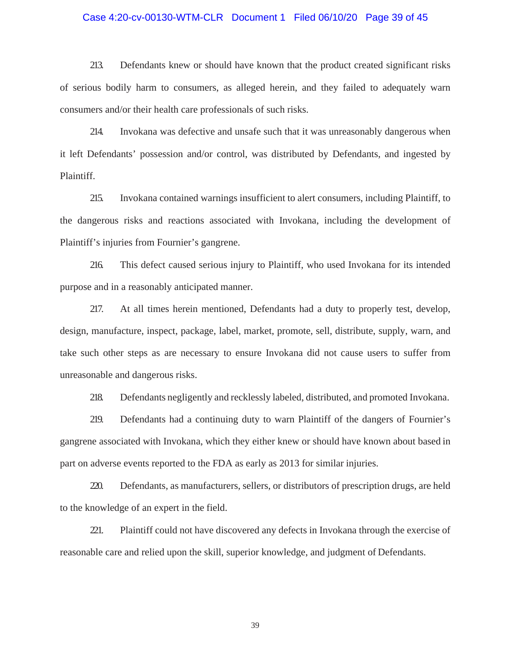#### Case 4:20-cv-00130-WTM-CLR Document 1 Filed 06/10/20 Page 39 of 45

213. Defendants knew or should have known that the product created significant risks of serious bodily harm to consumers, as alleged herein, and they failed to adequately warn consumers and/or their health care professionals of such risks.

214. Invokana was defective and unsafe such that it was unreasonably dangerous when it left Defendants' possession and/or control, was distributed by Defendants, and ingested by Plaintiff.

215. Invokana contained warnings insufficient to alert consumers, including Plaintiff, to the dangerous risks and reactions associated with Invokana, including the development of Plaintiff's injuries from Fournier's gangrene.

216. This defect caused serious injury to Plaintiff, who used Invokana for its intended purpose and in a reasonably anticipated manner.

217. At all times herein mentioned, Defendants had a duty to properly test, develop, design, manufacture, inspect, package, label, market, promote, sell, distribute, supply, warn, and take such other steps as are necessary to ensure Invokana did not cause users to suffer from unreasonable and dangerous risks.

218. Defendants negligently and recklessly labeled, distributed, and promoted Invokana.

219. Defendants had a continuing duty to warn Plaintiff of the dangers of Fournier's gangrene associated with Invokana, which they either knew or should have known about based in part on adverse events reported to the FDA as early as 2013 for similar injuries.

220. Defendants, as manufacturers, sellers, or distributors of prescription drugs, are held to the knowledge of an expert in the field.

221. Plaintiff could not have discovered any defects in Invokana through the exercise of reasonable care and relied upon the skill, superior knowledge, and judgment of Defendants.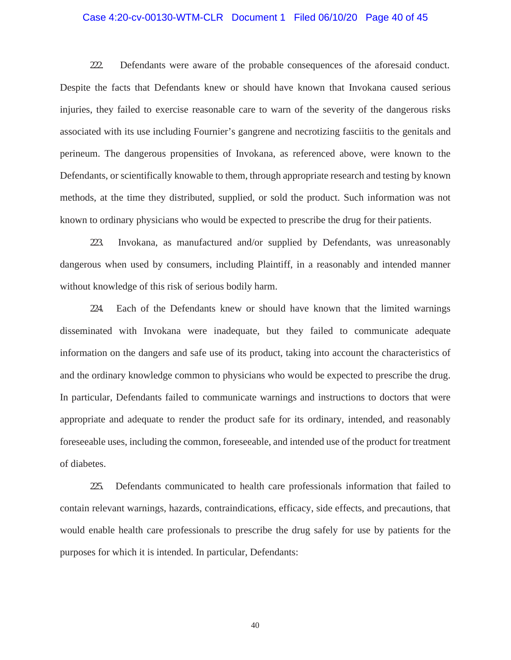#### Case 4:20-cv-00130-WTM-CLR Document 1 Filed 06/10/20 Page 40 of 45

222. Defendants were aware of the probable consequences of the aforesaid conduct. Despite the facts that Defendants knew or should have known that Invokana caused serious injuries, they failed to exercise reasonable care to warn of the severity of the dangerous risks associated with its use including Fournier's gangrene and necrotizing fasciitis to the genitals and perineum. The dangerous propensities of Invokana, as referenced above, were known to the Defendants, or scientifically knowable to them, through appropriate research and testing by known methods, at the time they distributed, supplied, or sold the product. Such information was not known to ordinary physicians who would be expected to prescribe the drug for their patients.

223. Invokana, as manufactured and/or supplied by Defendants, was unreasonably dangerous when used by consumers, including Plaintiff, in a reasonably and intended manner without knowledge of this risk of serious bodily harm.

224. Each of the Defendants knew or should have known that the limited warnings disseminated with Invokana were inadequate, but they failed to communicate adequate information on the dangers and safe use of its product, taking into account the characteristics of and the ordinary knowledge common to physicians who would be expected to prescribe the drug. In particular, Defendants failed to communicate warnings and instructions to doctors that were appropriate and adequate to render the product safe for its ordinary, intended, and reasonably foreseeable uses, including the common, foreseeable, and intended use of the product for treatment of diabetes.

225. Defendants communicated to health care professionals information that failed to contain relevant warnings, hazards, contraindications, efficacy, side effects, and precautions, that would enable health care professionals to prescribe the drug safely for use by patients for the purposes for which it is intended. In particular, Defendants: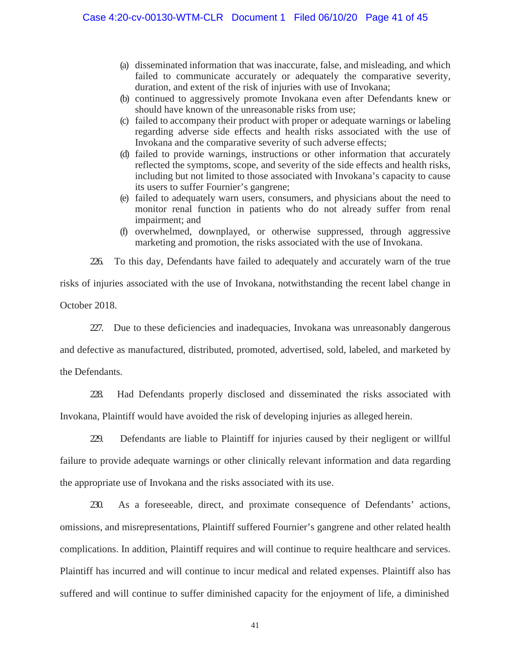- (a) disseminated information that was inaccurate, false, and misleading, and which failed to communicate accurately or adequately the comparative severity, duration, and extent of the risk of injuries with use of Invokana;
- (b) continued to aggressively promote Invokana even after Defendants knew or should have known of the unreasonable risks from use;
- (c) failed to accompany their product with proper or adequate warnings or labeling regarding adverse side effects and health risks associated with the use of Invokana and the comparative severity of such adverse effects;
- (d) failed to provide warnings, instructions or other information that accurately reflected the symptoms, scope, and severity of the side effects and health risks, including but not limited to those associated with Invokana's capacity to cause its users to suffer Fournier's gangrene;
- (e) failed to adequately warn users, consumers, and physicians about the need to monitor renal function in patients who do not already suffer from renal impairment; and
- (f) overwhelmed, downplayed, or otherwise suppressed, through aggressive marketing and promotion, the risks associated with the use of Invokana.

226. To this day, Defendants have failed to adequately and accurately warn of the true risks of injuries associated with the use of Invokana, notwithstanding the recent label change in October 2018.

227. Due to these deficiencies and inadequacies, Invokana was unreasonably dangerous and defective as manufactured, distributed, promoted, advertised, sold, labeled, and marketed by the Defendants.

228. Had Defendants properly disclosed and disseminated the risks associated with Invokana, Plaintiff would have avoided the risk of developing injuries as alleged herein.

229. Defendants are liable to Plaintiff for injuries caused by their negligent or willful failure to provide adequate warnings or other clinically relevant information and data regarding the appropriate use of Invokana and the risks associated with its use.

230. As a foreseeable, direct, and proximate consequence of Defendants' actions, omissions, and misrepresentations, Plaintiff suffered Fournier's gangrene and other related health complications. In addition, Plaintiff requires and will continue to require healthcare and services. Plaintiff has incurred and will continue to incur medical and related expenses. Plaintiff also has suffered and will continue to suffer diminished capacity for the enjoyment of life, a diminished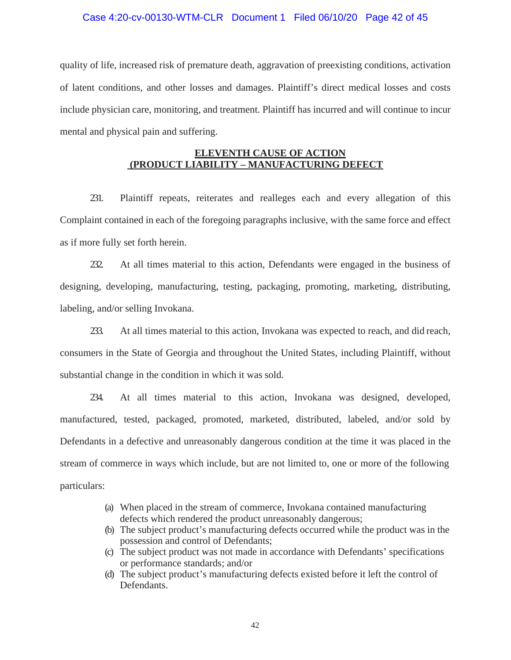### Case 4:20-cv-00130-WTM-CLR Document 1 Filed 06/10/20 Page 42 of 45

quality of life, increased risk of premature death, aggravation of preexisting conditions, activation of latent conditions, and other losses and damages. Plaintiff's direct medical losses and costs include physician care, monitoring, and treatment. Plaintiff has incurred and will continue to incur mental and physical pain and suffering.

## **ELEVENTH CAUSE OF ACTION (PRODUCT LIABILITY – MANUFACTURING DEFECT**

231. Plaintiff repeats, reiterates and realleges each and every allegation of this Complaint contained in each of the foregoing paragraphs inclusive, with the same force and effect as if more fully set forth herein.

232. At all times material to this action, Defendants were engaged in the business of designing, developing, manufacturing, testing, packaging, promoting, marketing, distributing, labeling, and/or selling Invokana.

233. At all times material to this action, Invokana was expected to reach, and did reach, consumers in the State of Georgia and throughout the United States, including Plaintiff, without substantial change in the condition in which it was sold.

234. At all times material to this action, Invokana was designed, developed, manufactured, tested, packaged, promoted, marketed, distributed, labeled, and/or sold by Defendants in a defective and unreasonably dangerous condition at the time it was placed in the stream of commerce in ways which include, but are not limited to, one or more of the following particulars:

- (a) When placed in the stream of commerce, Invokana contained manufacturing defects which rendered the product unreasonably dangerous;
- (b) The subject product's manufacturing defects occurred while the product was in the possession and control of Defendants;
- (c) The subject product was not made in accordance with Defendants' specifications or performance standards; and/or
- (d) The subject product's manufacturing defects existed before it left the control of Defendants.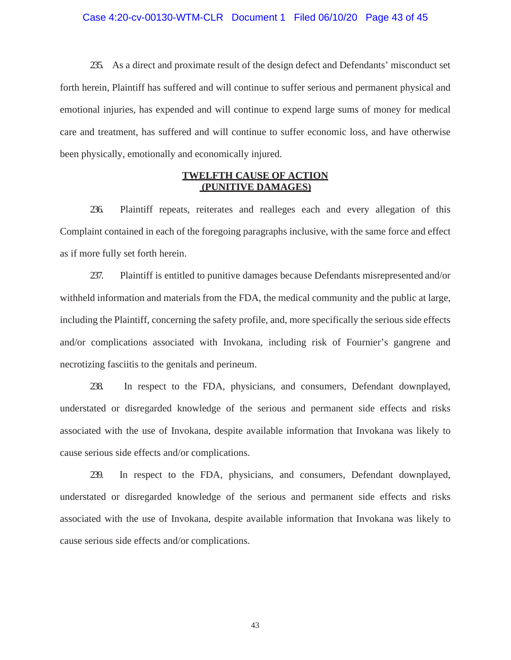#### Case 4:20-cv-00130-WTM-CLR Document 1 Filed 06/10/20 Page 43 of 45

235. As a direct and proximate result of the design defect and Defendants' misconduct set forth herein, Plaintiff has suffered and will continue to suffer serious and permanent physical and emotional injuries, has expended and will continue to expend large sums of money for medical care and treatment, has suffered and will continue to suffer economic loss, and have otherwise been physically, emotionally and economically injured.

### **TWELFTH CAUSE OF ACTION (PUNITIVE DAMAGES)**

236. Plaintiff repeats, reiterates and realleges each and every allegation of this Complaint contained in each of the foregoing paragraphs inclusive, with the same force and effect as if more fully set forth herein.

237. Plaintiff is entitled to punitive damages because Defendants misrepresented and/or withheld information and materials from the FDA, the medical community and the public at large, including the Plaintiff, concerning the safety profile, and, more specifically the serious side effects and/or complications associated with Invokana, including risk of Fournier's gangrene and necrotizing fasciitis to the genitals and perineum.

238. In respect to the FDA, physicians, and consumers, Defendant downplayed, understated or disregarded knowledge of the serious and permanent side effects and risks associated with the use of Invokana, despite available information that Invokana was likely to cause serious side effects and/or complications.

239. In respect to the FDA, physicians, and consumers, Defendant downplayed, understated or disregarded knowledge of the serious and permanent side effects and risks associated with the use of Invokana, despite available information that Invokana was likely to cause serious side effects and/or complications.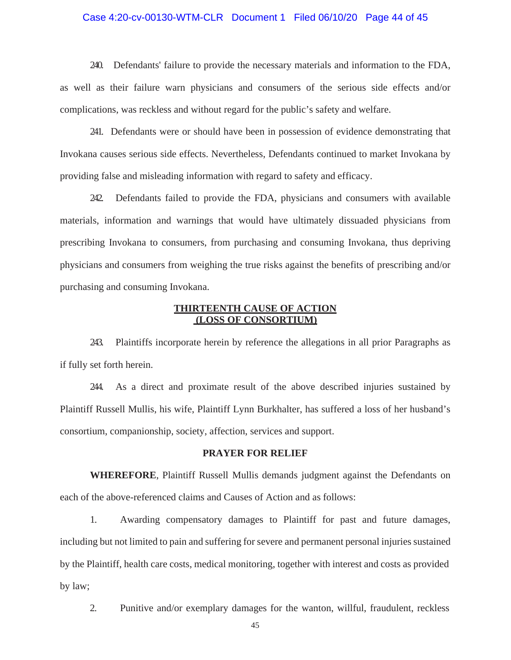#### Case 4:20-cv-00130-WTM-CLR Document 1 Filed 06/10/20 Page 44 of 45

240. Defendants' failure to provide the necessary materials and information to the FDA, as well as their failure warn physicians and consumers of the serious side effects and/or complications, was reckless and without regard for the public's safety and welfare.

241. Defendants were or should have been in possession of evidence demonstrating that Invokana causes serious side effects. Nevertheless, Defendants continued to market Invokana by providing false and misleading information with regard to safety and efficacy.

242. Defendants failed to provide the FDA, physicians and consumers with available materials, information and warnings that would have ultimately dissuaded physicians from prescribing Invokana to consumers, from purchasing and consuming Invokana, thus depriving physicians and consumers from weighing the true risks against the benefits of prescribing and/or purchasing and consuming Invokana.

## **THIRTEENTH CAUSE OF ACTION (LOSS OF CONSORTIUM)**

243. Plaintiffs incorporate herein by reference the allegations in all prior Paragraphs as if fully set forth herein.

244. As a direct and proximate result of the above described injuries sustained by Plaintiff Russell Mullis, his wife, Plaintiff Lynn Burkhalter, has suffered a loss of her husband's consortium, companionship, society, affection, services and support.

#### **PRAYER FOR RELIEF**

**WHEREFORE**, Plaintiff Russell Mullis demands judgment against the Defendants on each of the above-referenced claims and Causes of Action and as follows:

1. Awarding compensatory damages to Plaintiff for past and future damages, including but not limited to pain and suffering for severe and permanent personal injuries sustained by the Plaintiff, health care costs, medical monitoring, together with interest and costs as provided by law;

2. Punitive and/or exemplary damages for the wanton, willful, fraudulent, reckless